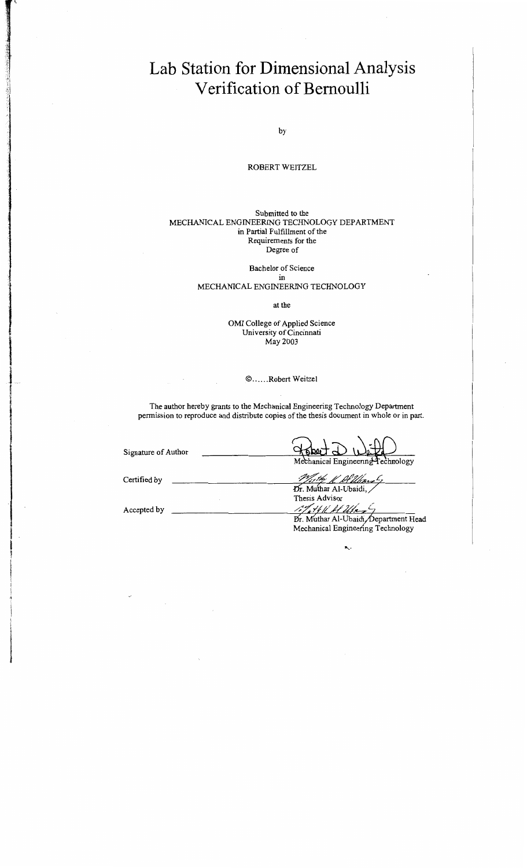# **Lab Station for Dimensional Analysis Verification of Bernoulli**

by

### ROBERT WEITZEL

#### Submitted to the MECHANICAL ENGINEERING TECHNOLOGY DEPARTMENT in Partial Fulfillment of the Requirements for the Degree of

### Bachelor of Science

#### in MECHANICAL ENGINEERING TECHNOLOGY

at the

OMI College of Applied Science University of Cincinnati May2003

l

I

### © ...... Robert Weitzel

The author hereby grants to the Mechanical Engineering Technology Department permission to reproduce and distribute copies of the thesis document in whole or in part.

| Signature of Author | Mechanical Engineering Technology     |
|---------------------|---------------------------------------|
| Certified by        | <u>Alban</u>                          |
|                     | Dr. Muthar Al-Ubaidi,                 |
|                     | Thesis Advisor                        |
| Accepted by         | 17 H K Al Uler                        |
|                     | Dr. Muthar Al-Ubaidi, Department Head |
|                     | Mechanical Engineering Technology     |

к.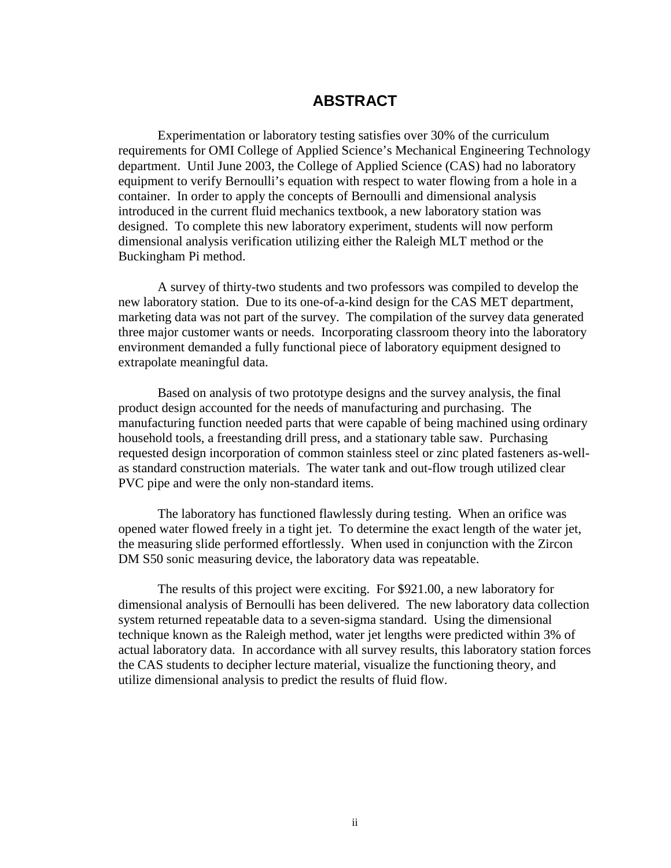### **ABSTRACT**

Experimentation or laboratory testing satisfies over 30% of the curriculum requirements for OMI College of Applied Science's Mechanical Engineering Technology department. Until June 2003, the College of Applied Science (CAS) had no laboratory equipment to verify Bernoulli's equation with respect to water flowing from a hole in a container. In order to apply the concepts of Bernoulli and dimensional analysis introduced in the current fluid mechanics textbook, a new laboratory station was designed. To complete this new laboratory experiment, students will now perform dimensional analysis verification utilizing either the Raleigh MLT method or the Buckingham Pi method.

A survey of thirty-two students and two professors was compiled to develop the new laboratory station. Due to its one-of-a-kind design for the CAS MET department, marketing data was not part of the survey. The compilation of the survey data generated three major customer wants or needs. Incorporating classroom theory into the laboratory environment demanded a fully functional piece of laboratory equipment designed to extrapolate meaningful data.

Based on analysis of two prototype designs and the survey analysis, the final product design accounted for the needs of manufacturing and purchasing. The manufacturing function needed parts that were capable of being machined using ordinary household tools, a freestanding drill press, and a stationary table saw. Purchasing requested design incorporation of common stainless steel or zinc plated fasteners as-wellas standard construction materials. The water tank and out-flow trough utilized clear PVC pipe and were the only non-standard items.

The laboratory has functioned flawlessly during testing. When an orifice was opened water flowed freely in a tight jet. To determine the exact length of the water jet, the measuring slide performed effortlessly. When used in conjunction with the Zircon DM S50 sonic measuring device, the laboratory data was repeatable.

The results of this project were exciting. For \$921.00, a new laboratory for dimensional analysis of Bernoulli has been delivered. The new laboratory data collection system returned repeatable data to a seven-sigma standard. Using the dimensional technique known as the Raleigh method, water jet lengths were predicted within 3% of actual laboratory data. In accordance with all survey results, this laboratory station forces the CAS students to decipher lecture material, visualize the functioning theory, and utilize dimensional analysis to predict the results of fluid flow.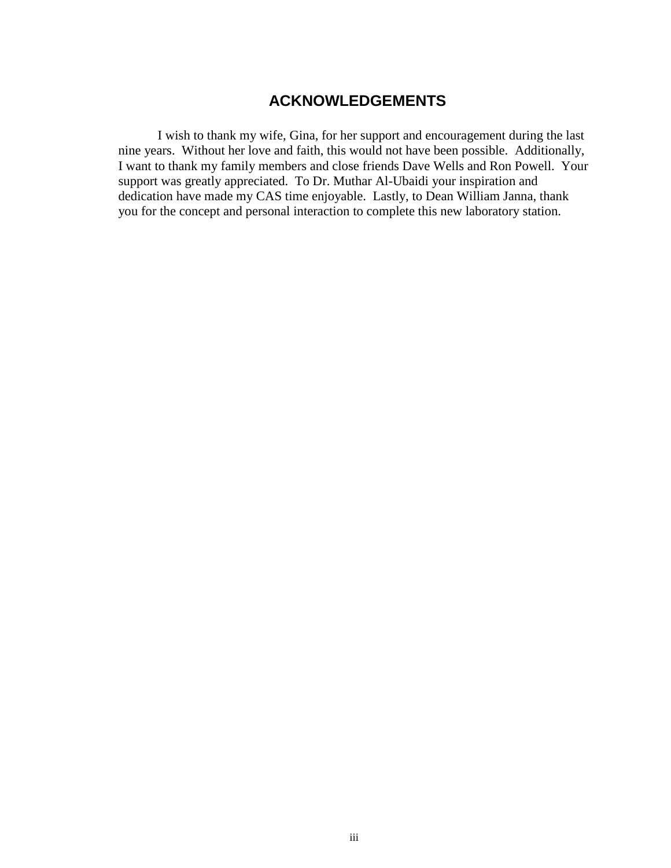### **ACKNOWLEDGEMENTS**

I wish to thank my wife, Gina, for her support and encouragement during the last nine years. Without her love and faith, this would not have been possible. Additionally, I want to thank my family members and close friends Dave Wells and Ron Powell. Your support was greatly appreciated. To Dr. Muthar Al-Ubaidi your inspiration and dedication have made my CAS time enjoyable. Lastly, to Dean William Janna, thank you for the concept and personal interaction to complete this new laboratory station.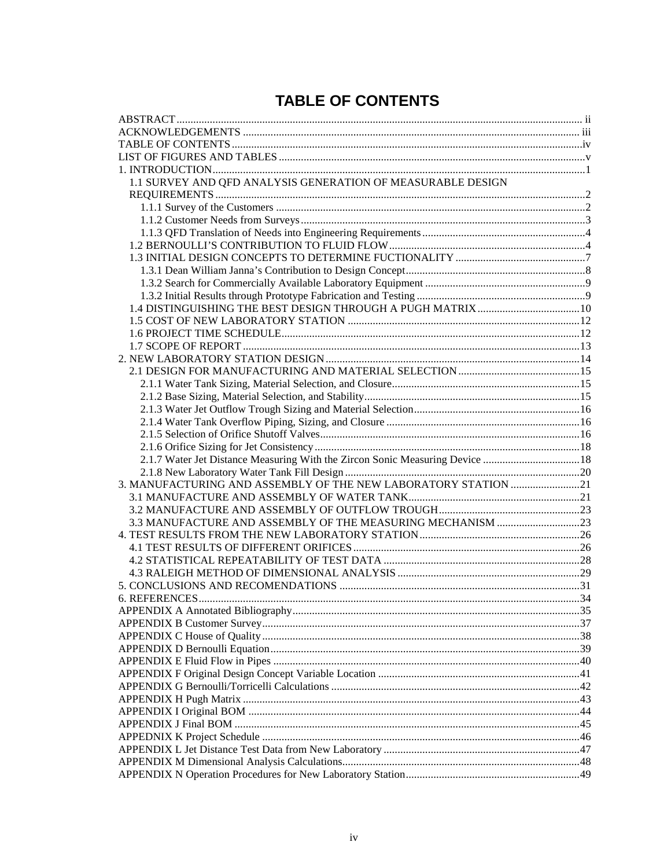# **TABLE OF CONTENTS**

| 1.1 SURVEY AND QFD ANALYSIS GENERATION OF MEASURABLE DESIGN                   |  |
|-------------------------------------------------------------------------------|--|
|                                                                               |  |
|                                                                               |  |
|                                                                               |  |
|                                                                               |  |
|                                                                               |  |
|                                                                               |  |
|                                                                               |  |
|                                                                               |  |
|                                                                               |  |
|                                                                               |  |
|                                                                               |  |
|                                                                               |  |
|                                                                               |  |
|                                                                               |  |
|                                                                               |  |
|                                                                               |  |
|                                                                               |  |
|                                                                               |  |
|                                                                               |  |
|                                                                               |  |
|                                                                               |  |
|                                                                               |  |
| 2.1.7 Water Jet Distance Measuring With the Zircon Sonic Measuring Device  18 |  |
|                                                                               |  |
| 3. MANUFACTURING AND ASSEMBLY OF THE NEW LABORATORY STATION 21                |  |
|                                                                               |  |
|                                                                               |  |
|                                                                               |  |
|                                                                               |  |
|                                                                               |  |
|                                                                               |  |
|                                                                               |  |
|                                                                               |  |
|                                                                               |  |
|                                                                               |  |
|                                                                               |  |
|                                                                               |  |
|                                                                               |  |
|                                                                               |  |
|                                                                               |  |
|                                                                               |  |
|                                                                               |  |
|                                                                               |  |
|                                                                               |  |
|                                                                               |  |
|                                                                               |  |
|                                                                               |  |
|                                                                               |  |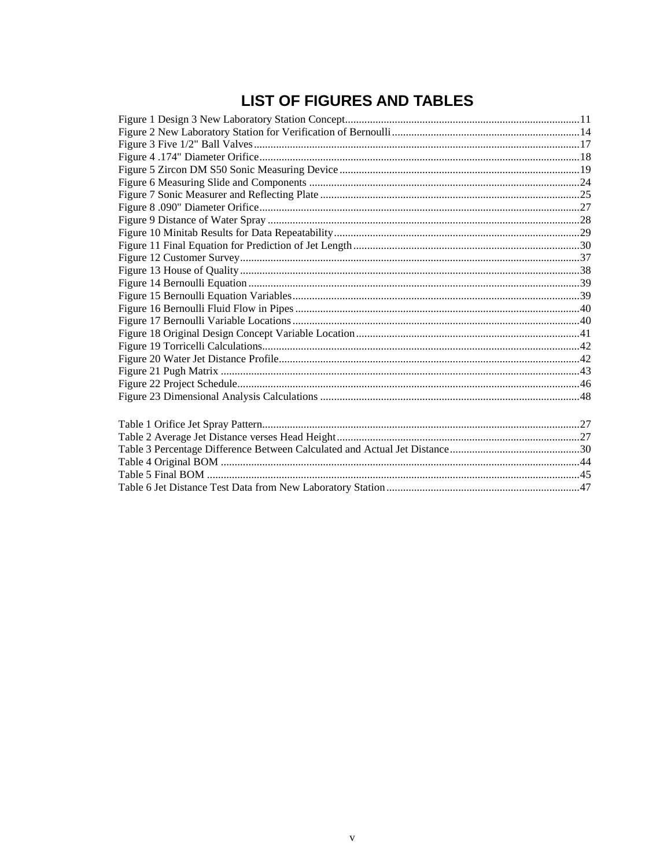# **LIST OF FIGURES AND TABLES**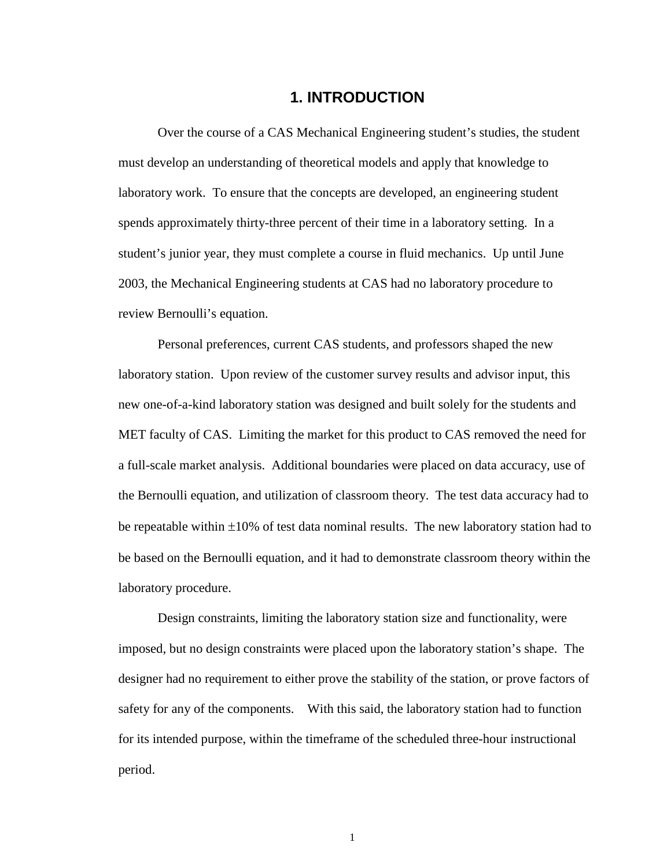### **1. INTRODUCTION**

Over the course of a CAS Mechanical Engineering student's studies, the student must develop an understanding of theoretical models and apply that knowledge to laboratory work. To ensure that the concepts are developed, an engineering student spends approximately thirty-three percent of their time in a laboratory setting. In a student's junior year, they must complete a course in fluid mechanics. Up until June 2003, the Mechanical Engineering students at CAS had no laboratory procedure to review Bernoulli's equation.

Personal preferences, current CAS students, and professors shaped the new laboratory station. Upon review of the customer survey results and advisor input, this new one-of-a-kind laboratory station was designed and built solely for the students and MET faculty of CAS. Limiting the market for this product to CAS removed the need for a full-scale market analysis. Additional boundaries were placed on data accuracy, use of the Bernoulli equation, and utilization of classroom theory. The test data accuracy had to be repeatable within ±10% of test data nominal results. The new laboratory station had to be based on the Bernoulli equation, and it had to demonstrate classroom theory within the laboratory procedure.

Design constraints, limiting the laboratory station size and functionality, were imposed, but no design constraints were placed upon the laboratory station's shape. The designer had no requirement to either prove the stability of the station, or prove factors of safety for any of the components. With this said, the laboratory station had to function for its intended purpose, within the timeframe of the scheduled three-hour instructional period.

1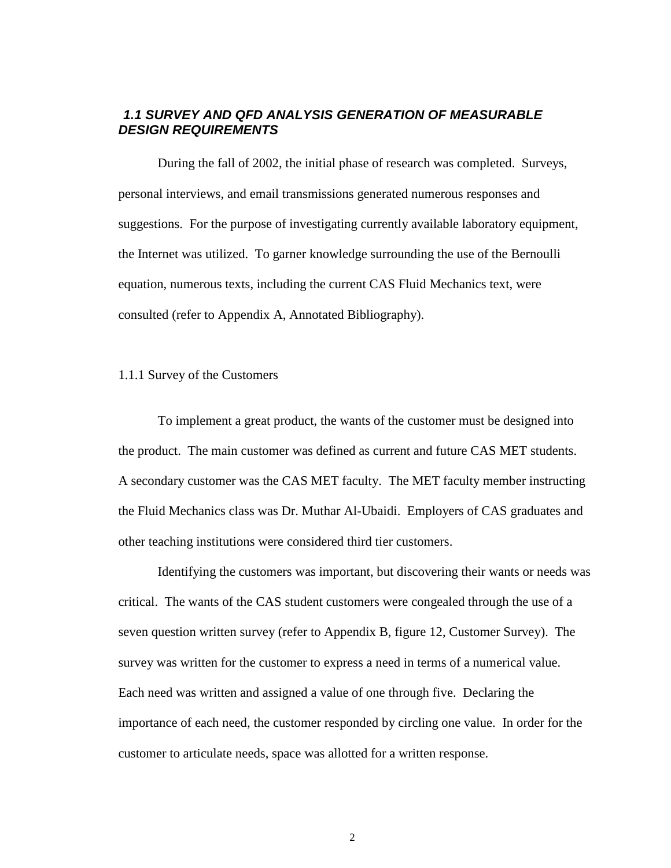### *1.1 SURVEY AND QFD ANALYSIS GENERATION OF MEASURABLE DESIGN REQUIREMENTS*

During the fall of 2002, the initial phase of research was completed. Surveys, personal interviews, and email transmissions generated numerous responses and suggestions. For the purpose of investigating currently available laboratory equipment, the Internet was utilized. To garner knowledge surrounding the use of the Bernoulli equation, numerous texts, including the current CAS Fluid Mechanics text, were consulted (refer to Appendix A, Annotated Bibliography).

#### 1.1.1 Survey of the Customers

To implement a great product, the wants of the customer must be designed into the product. The main customer was defined as current and future CAS MET students. A secondary customer was the CAS MET faculty. The MET faculty member instructing the Fluid Mechanics class was Dr. Muthar Al-Ubaidi. Employers of CAS graduates and other teaching institutions were considered third tier customers.

Identifying the customers was important, but discovering their wants or needs was critical. The wants of the CAS student customers were congealed through the use of a seven question written survey (refer to Appendix B, figure 12, Customer Survey). The survey was written for the customer to express a need in terms of a numerical value. Each need was written and assigned a value of one through five. Declaring the importance of each need, the customer responded by circling one value. In order for the customer to articulate needs, space was allotted for a written response.

2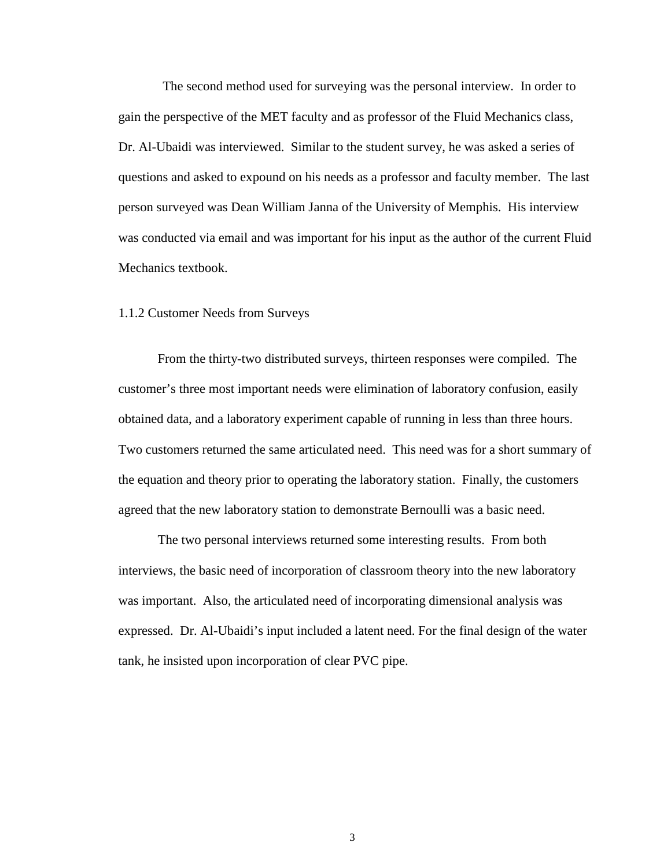The second method used for surveying was the personal interview. In order to gain the perspective of the MET faculty and as professor of the Fluid Mechanics class, Dr. Al-Ubaidi was interviewed. Similar to the student survey, he was asked a series of questions and asked to expound on his needs as a professor and faculty member. The last person surveyed was Dean William Janna of the University of Memphis. His interview was conducted via email and was important for his input as the author of the current Fluid Mechanics textbook.

### 1.1.2 Customer Needs from Surveys

From the thirty-two distributed surveys, thirteen responses were compiled. The customer's three most important needs were elimination of laboratory confusion, easily obtained data, and a laboratory experiment capable of running in less than three hours. Two customers returned the same articulated need. This need was for a short summary of the equation and theory prior to operating the laboratory station. Finally, the customers agreed that the new laboratory station to demonstrate Bernoulli was a basic need.

The two personal interviews returned some interesting results. From both interviews, the basic need of incorporation of classroom theory into the new laboratory was important. Also, the articulated need of incorporating dimensional analysis was expressed. Dr. Al-Ubaidi's input included a latent need. For the final design of the water tank, he insisted upon incorporation of clear PVC pipe.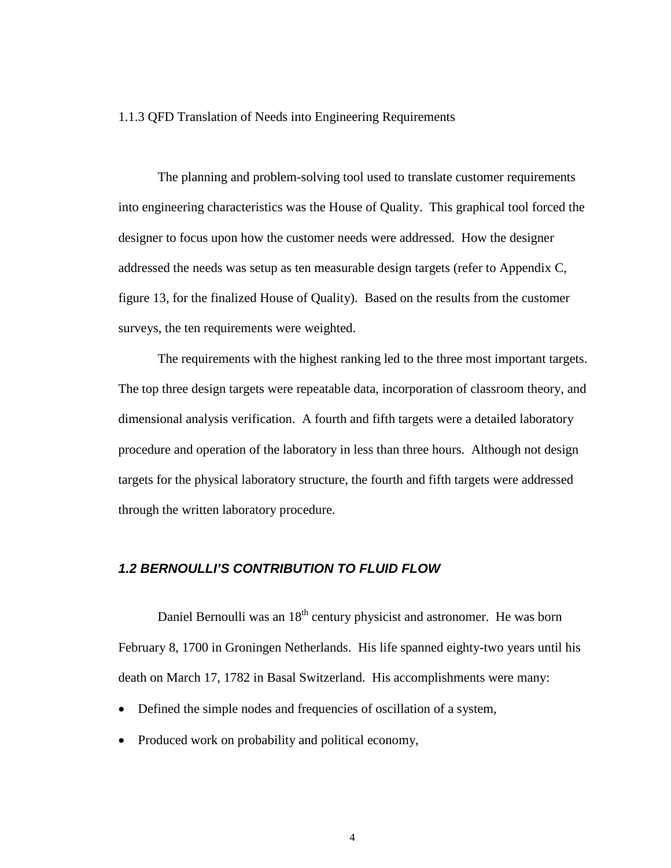#### 1.1.3 QFD Translation of Needs into Engineering Requirements

The planning and problem-solving tool used to translate customer requirements into engineering characteristics was the House of Quality. This graphical tool forced the designer to focus upon how the customer needs were addressed. How the designer addressed the needs was setup as ten measurable design targets (refer to Appendix C, figure 13, for the finalized House of Quality). Based on the results from the customer surveys, the ten requirements were weighted.

The requirements with the highest ranking led to the three most important targets. The top three design targets were repeatable data, incorporation of classroom theory, and dimensional analysis verification. A fourth and fifth targets were a detailed laboratory procedure and operation of the laboratory in less than three hours. Although not design targets for the physical laboratory structure, the fourth and fifth targets were addressed through the written laboratory procedure.

### *1.2 BERNOULLI'S CONTRIBUTION TO FLUID FLOW*

Daniel Bernoulli was an 18<sup>th</sup> century physicist and astronomer. He was born February 8, 1700 in Groningen Netherlands. His life spanned eighty-two years until his death on March 17, 1782 in Basal Switzerland. His accomplishments were many:

- Defined the simple nodes and frequencies of oscillation of a system,
- Produced work on probability and political economy,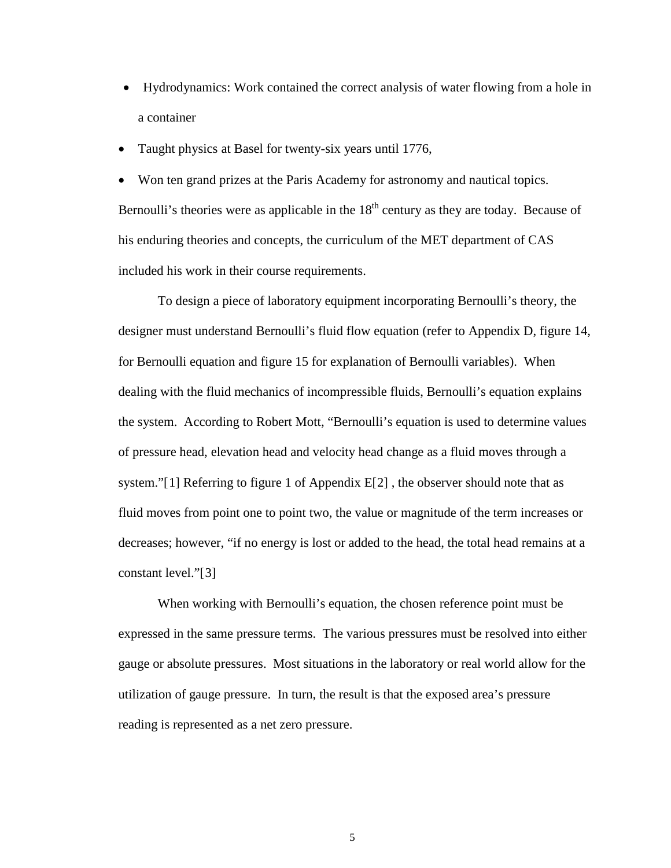- Hydrodynamics: Work contained the correct analysis of water flowing from a hole in a container
- Taught physics at Basel for twenty-six years until 1776,

• Won ten grand prizes at the Paris Academy for astronomy and nautical topics. Bernoulli's theories were as applicable in the  $18<sup>th</sup>$  century as they are today. Because of his enduring theories and concepts, the curriculum of the MET department of CAS included his work in their course requirements.

To design a piece of laboratory equipment incorporating Bernoulli's theory, the designer must understand Bernoulli's fluid flow equation (refer to Appendix D, figure 14, for Bernoulli equation and figure 15 for explanation of Bernoulli variables). When dealing with the fluid mechanics of incompressible fluids, Bernoulli's equation explains the system. According to Robert Mott, "Bernoulli's equation is used to determine values of pressure head, elevation head and velocity head change as a fluid moves through a system."[[1](#page-57-0)] Referring to figure 1 of Appendix  $E[2]$  $E[2]$  $E[2]$ , the observer should note that as fluid moves from point one to point two, the value or magnitude of the term increases or decreases; however, "if no energy is lost or added to the head, the total head remains at a constant level."[[3](#page-57-2)]

When working with Bernoulli's equation, the chosen reference point must be expressed in the same pressure terms. The various pressures must be resolved into either gauge or absolute pressures. Most situations in the laboratory or real world allow for the utilization of gauge pressure. In turn, the result is that the exposed area's pressure reading is represented as a net zero pressure.

5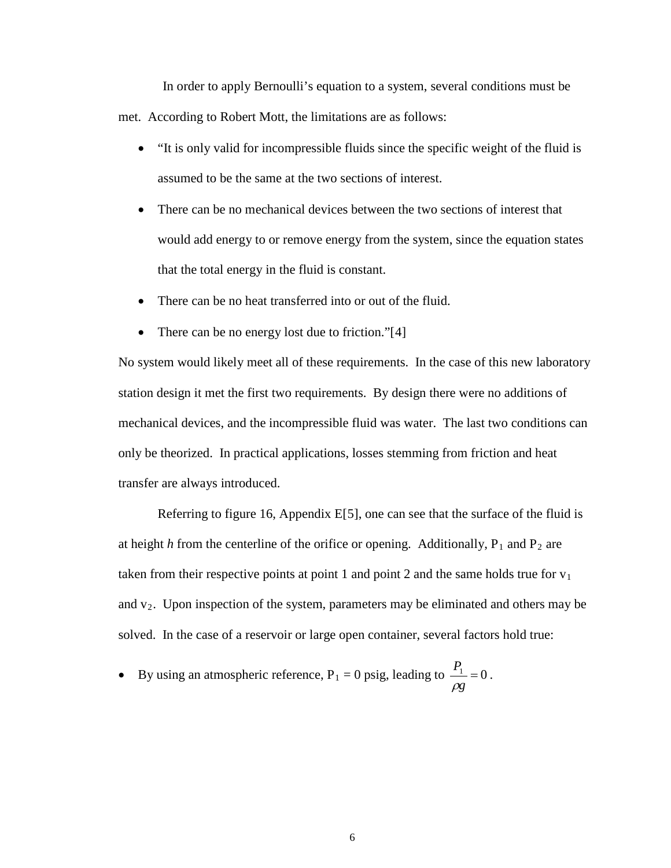In order to apply Bernoulli's equation to a system, several conditions must be met. According to Robert Mott, the limitations are as follows:

- "It is only valid for incompressible fluids since the specific weight of the fluid is assumed to be the same at the two sections of interest.
- There can be no mechanical devices between the two sections of interest that would add energy to or remove energy from the system, since the equation states that the total energy in the fluid is constant.
- There can be no heat transferred into or out of the fluid.
- There can be no energy lost due to friction."[[4](#page-57-3)]

No system would likely meet all of these requirements. In the case of this new laboratory station design it met the first two requirements. By design there were no additions of mechanical devices, and the incompressible fluid was water. The last two conditions can only be theorized. In practical applications, losses stemming from friction and heat transfer are always introduced.

Referring to figure 16, Appendix E[ [5](#page-57-4)], one can see that the surface of the fluid is at height *h* from the centerline of the orifice or opening. Additionally,  $P_1$  and  $P_2$  are taken from their respective points at point 1 and point 2 and the same holds true for  $v_1$ and  $v_2$ . Upon inspection of the system, parameters may be eliminated and others may be solved. In the case of a reservoir or large open container, several factors hold true:

• By using an atmospheric reference, 
$$
P_1 = 0
$$
 psig, leading to  $\frac{P_1}{\rho g} = 0$ .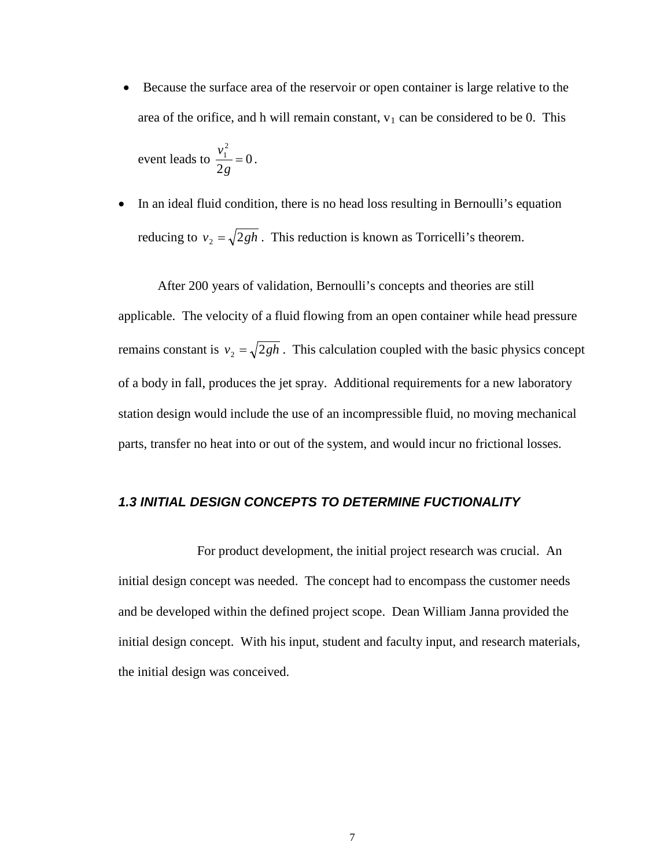Because the surface area of the reservoir or open container is large relative to the area of the orifice, and h will remain constant,  $v_1$  can be considered to be 0. This

event leads to 
$$
\frac{v_1^2}{2g} = 0
$$
.

• In an ideal fluid condition, there is no head loss resulting in Bernoulli's equation reducing to  $v_2 = \sqrt{2gh}$ . This reduction is known as Torricelli's theorem.

After 200 years of validation, Bernoulli's concepts and theories are still applicable. The velocity of a fluid flowing from an open container while head pressure remains constant is  $v_2 = \sqrt{2gh}$ . This calculation coupled with the basic physics concept of a body in fall, produces the jet spray. Additional requirements for a new laboratory station design would include the use of an incompressible fluid, no moving mechanical parts, transfer no heat into or out of the system, and would incur no frictional losses.

### *1.3 INITIAL DESIGN CONCEPTS TO DETERMINE FUCTIONALITY*

For product development, the initial project research was crucial. An initial design concept was needed. The concept had to encompass the customer needs and be developed within the defined project scope. Dean William Janna provided the initial design concept. With his input, student and faculty input, and research materials, the initial design was conceived.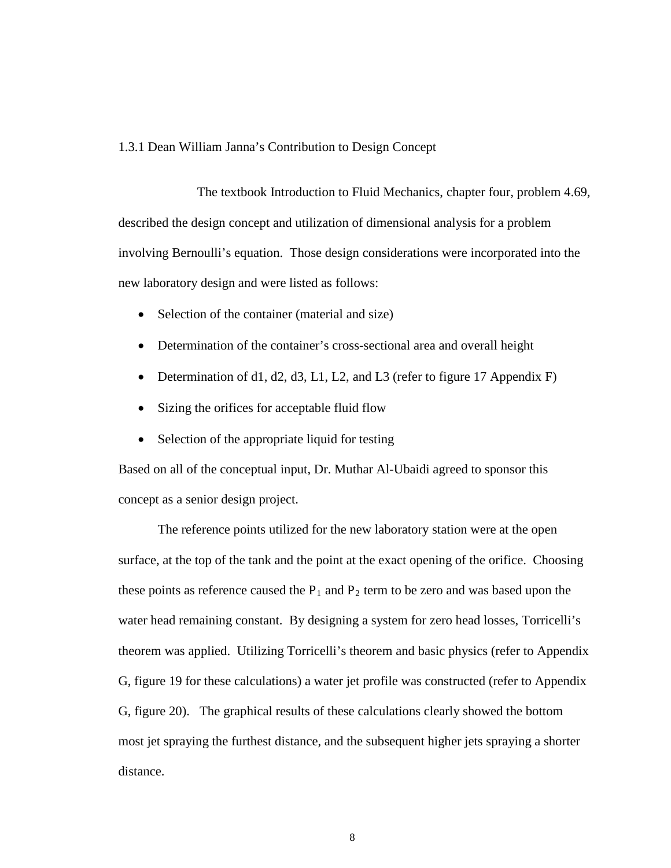#### 1.3.1 Dean William Janna's Contribution to Design Concept

The textbook Introduction to Fluid Mechanics, chapter four, problem 4.69, described the design concept and utilization of dimensional analysis for a problem involving Bernoulli's equation. Those design considerations were incorporated into the new laboratory design and were listed as follows:

- Selection of the container (material and size)
- Determination of the container's cross-sectional area and overall height
- Determination of d1, d2, d3, L1, L2, and L3 (refer to figure 17 Appendix F)
- Sizing the orifices for acceptable fluid flow
- Selection of the appropriate liquid for testing

Based on all of the conceptual input, Dr. Muthar Al-Ubaidi agreed to sponsor this concept as a senior design project.

The reference points utilized for the new laboratory station were at the open surface, at the top of the tank and the point at the exact opening of the orifice. Choosing these points as reference caused the  $P_1$  and  $P_2$  term to be zero and was based upon the water head remaining constant. By designing a system for zero head losses, Torricelli's theorem was applied. Utilizing Torricelli's theorem and basic physics (refer to Appendix G, figure 19 for these calculations) a water jet profile was constructed (refer to Appendix G, figure 20). The graphical results of these calculations clearly showed the bottom most jet spraying the furthest distance, and the subsequent higher jets spraying a shorter distance.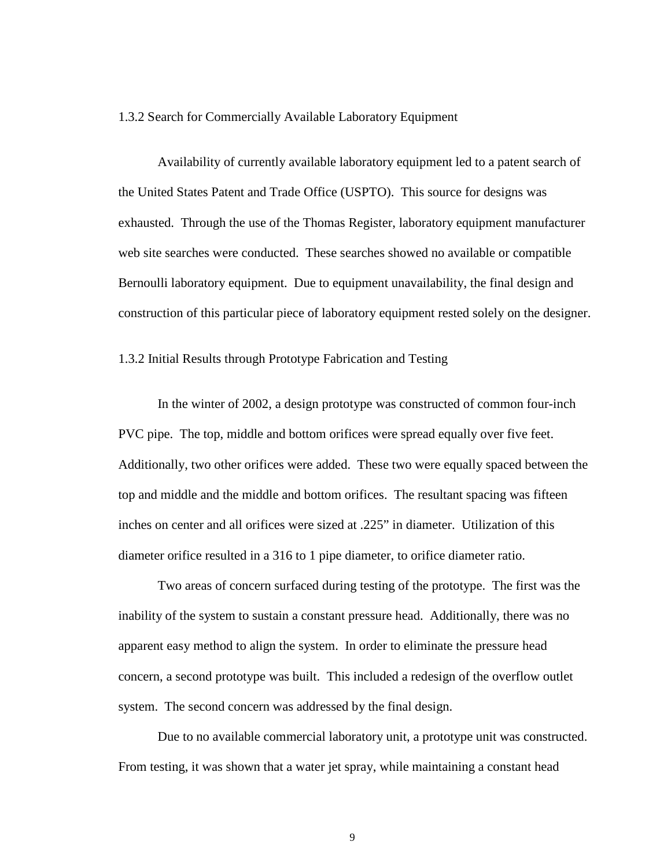#### 1.3.2 Search for Commercially Available Laboratory Equipment

Availability of currently available laboratory equipment led to a patent search of the United States Patent and Trade Office (USPTO). This source for designs was exhausted. Through the use of the Thomas Register, laboratory equipment manufacturer web site searches were conducted. These searches showed no available or compatible Bernoulli laboratory equipment. Due to equipment unavailability, the final design and construction of this particular piece of laboratory equipment rested solely on the designer.

1.3.2 Initial Results through Prototype Fabrication and Testing

In the winter of 2002, a design prototype was constructed of common four-inch PVC pipe. The top, middle and bottom orifices were spread equally over five feet. Additionally, two other orifices were added. These two were equally spaced between the top and middle and the middle and bottom orifices. The resultant spacing was fifteen inches on center and all orifices were sized at .225" in diameter. Utilization of this diameter orifice resulted in a 316 to 1 pipe diameter, to orifice diameter ratio.

Two areas of concern surfaced during testing of the prototype. The first was the inability of the system to sustain a constant pressure head. Additionally, there was no apparent easy method to align the system. In order to eliminate the pressure head concern, a second prototype was built. This included a redesign of the overflow outlet system. The second concern was addressed by the final design.

Due to no available commercial laboratory unit, a prototype unit was constructed. From testing, it was shown that a water jet spray, while maintaining a constant head

9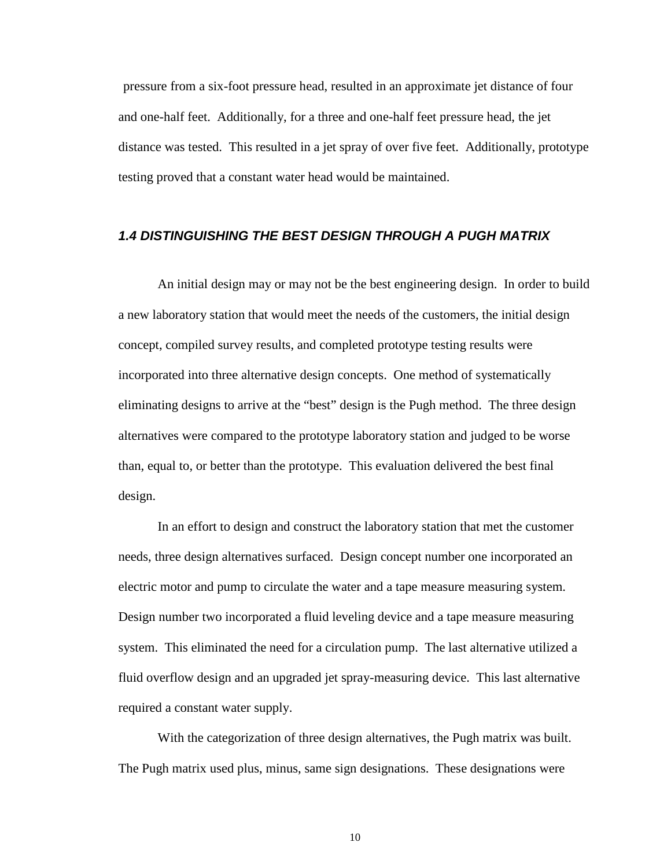pressure from a six-foot pressure head, resulted in an approximate jet distance of four and one-half feet. Additionally, for a three and one-half feet pressure head, the jet distance was tested. This resulted in a jet spray of over five feet. Additionally, prototype testing proved that a constant water head would be maintained.

### *1.4 DISTINGUISHING THE BEST DESIGN THROUGH A PUGH MATRIX*

An initial design may or may not be the best engineering design. In order to build a new laboratory station that would meet the needs of the customers, the initial design concept, compiled survey results, and completed prototype testing results were incorporated into three alternative design concepts. One method of systematically eliminating designs to arrive at the "best" design is the Pugh method. The three design alternatives were compared to the prototype laboratory station and judged to be worse than, equal to, or better than the prototype. This evaluation delivered the best final design.

In an effort to design and construct the laboratory station that met the customer needs, three design alternatives surfaced. Design concept number one incorporated an electric motor and pump to circulate the water and a tape measure measuring system. Design number two incorporated a fluid leveling device and a tape measure measuring system. This eliminated the need for a circulation pump. The last alternative utilized a fluid overflow design and an upgraded jet spray-measuring device. This last alternative required a constant water supply.

With the categorization of three design alternatives, the Pugh matrix was built. The Pugh matrix used plus, minus, same sign designations. These designations were

10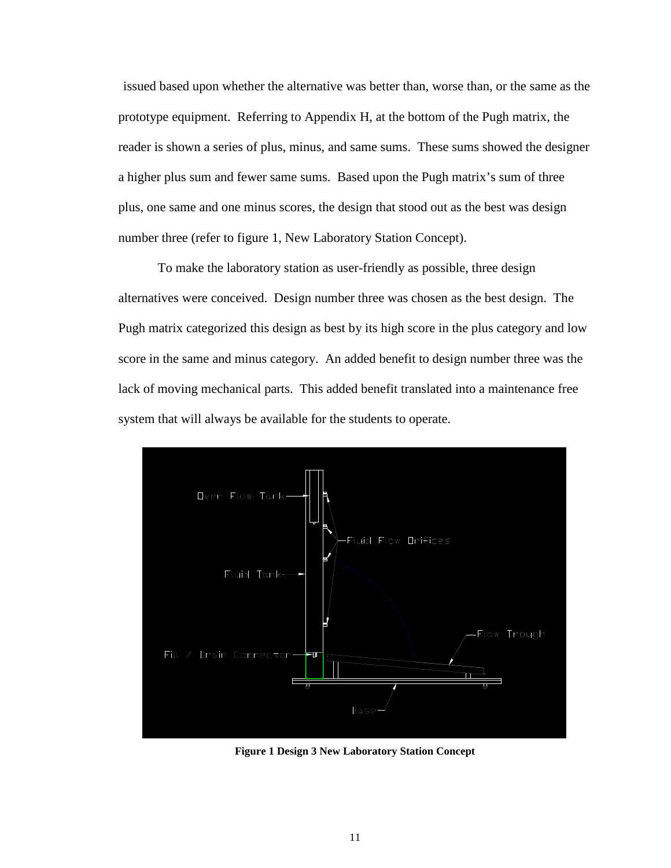issued based upon whether the alternative was better than, worse than, or the same as the prototype equipment. Referring to Appendix H, at the bottom of the Pugh matrix, the reader is shown a series of plus, minus, and same sums. These sums showed the designer a higher plus sum and fewer same sums. Based upon the Pugh matrix's sum of three plus, one same and one minus scores, the design that stood out as the best was design number three (refer to figure 1, New Laboratory Station Concept).

To make the laboratory station as user-friendly as possible, three design alternatives were conceived. Design number three was chosen as the best design. The Pugh matrix categorized this design as best by its high score in the plus category and low score in the same and minus category. An added benefit to design number three was the lack of moving mechanical parts. This added benefit translated into a maintenance free system that will always be available for the students to operate.



<span id="page-15-0"></span>**Figure 1 Design 3 New Laboratory Station Concept**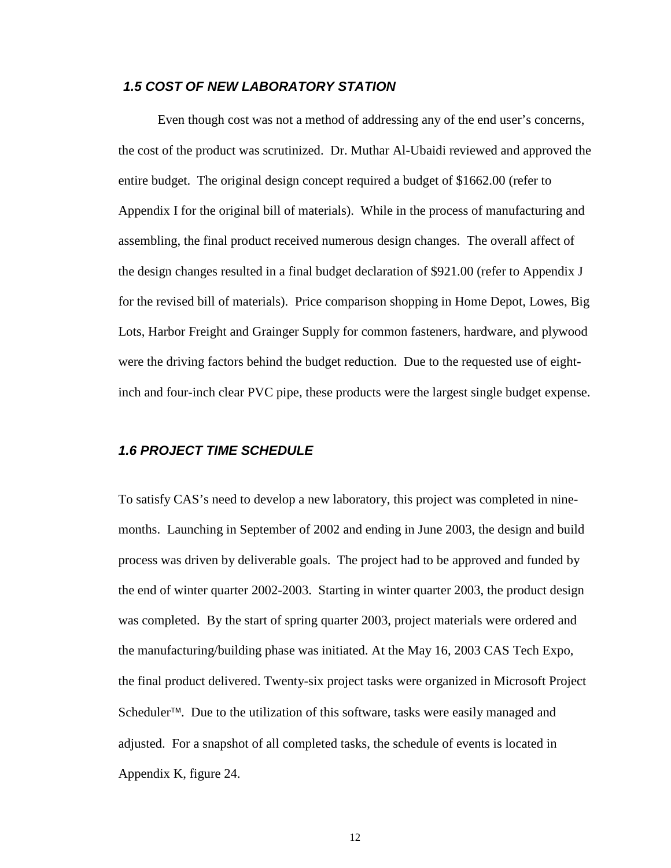### *1.5 COST OF NEW LABORATORY STATION*

Even though cost was not a method of addressing any of the end user's concerns, the cost of the product was scrutinized. Dr. Muthar Al-Ubaidi reviewed and approved the entire budget. The original design concept required a budget of \$1662.00 (refer to Appendix I for the original bill of materials). While in the process of manufacturing and assembling, the final product received numerous design changes. The overall affect of the design changes resulted in a final budget declaration of \$921.00 (refer to Appendix J for the revised bill of materials). Price comparison shopping in Home Depot, Lowes, Big Lots, Harbor Freight and Grainger Supply for common fasteners, hardware, and plywood were the driving factors behind the budget reduction. Due to the requested use of eightinch and four-inch clear PVC pipe, these products were the largest single budget expense.

### *1.6 PROJECT TIME SCHEDULE*

To satisfy CAS's need to develop a new laboratory, this project was completed in ninemonths. Launching in September of 2002 and ending in June 2003, the design and build process was driven by deliverable goals. The project had to be approved and funded by the end of winter quarter 2002-2003. Starting in winter quarter 2003, the product design was completed. By the start of spring quarter 2003, project materials were ordered and the manufacturing/building phase was initiated. At the May 16, 2003 CAS Tech Expo, the final product delivered. Twenty-six project tasks were organized in Microsoft Project Scheduler<sup>™</sup>. Due to the utilization of this software, tasks were easily managed and adjusted. For a snapshot of all completed tasks, the schedule of events is located in Appendix K, figure 24.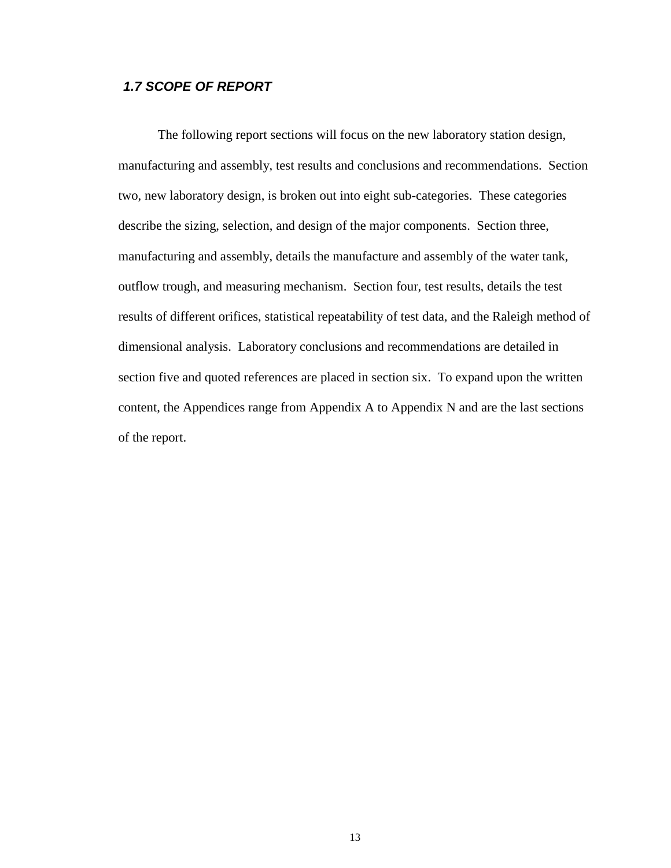### *1.7 SCOPE OF REPORT*

The following report sections will focus on the new laboratory station design, manufacturing and assembly, test results and conclusions and recommendations. Section two, new laboratory design, is broken out into eight sub-categories. These categories describe the sizing, selection, and design of the major components. Section three, manufacturing and assembly, details the manufacture and assembly of the water tank, outflow trough, and measuring mechanism. Section four, test results, details the test results of different orifices, statistical repeatability of test data, and the Raleigh method of dimensional analysis. Laboratory conclusions and recommendations are detailed in section five and quoted references are placed in section six. To expand upon the written content, the Appendices range from Appendix A to Appendix N and are the last sections of the report.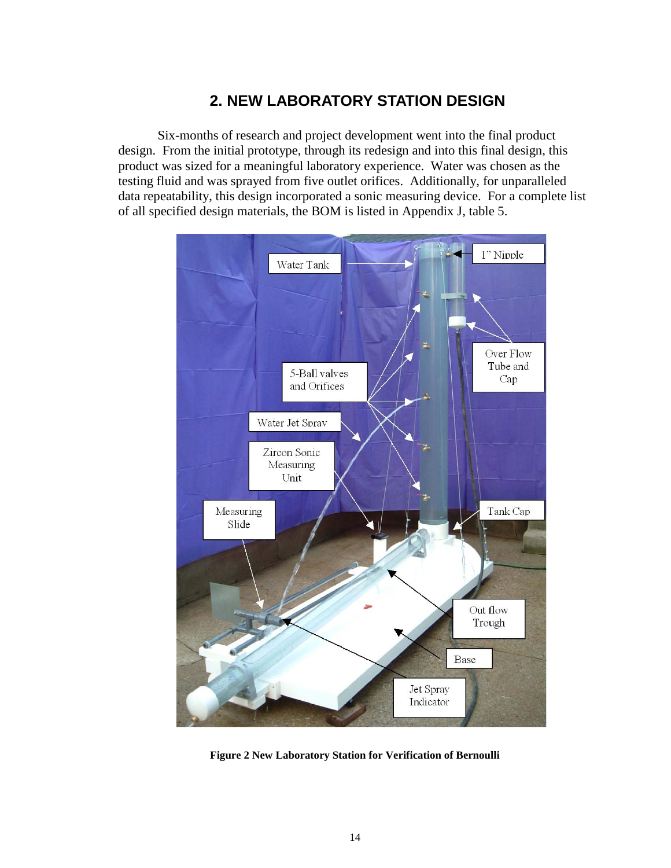## **2. NEW LABORATORY STATION DESIGN**

Six-months of research and project development went into the final product design. From the initial prototype, through its redesign and into this final design, this product was sized for a meaningful laboratory experience. Water was chosen as the testing fluid and was sprayed from five outlet orifices. Additionally, for unparalleled data repeatability, this design incorporated a sonic measuring device. For a complete list of all specified design materials, the BOM is listed in Appendix J, table 5.



<span id="page-18-0"></span>**Figure 2 New Laboratory Station for Verification of Bernoulli**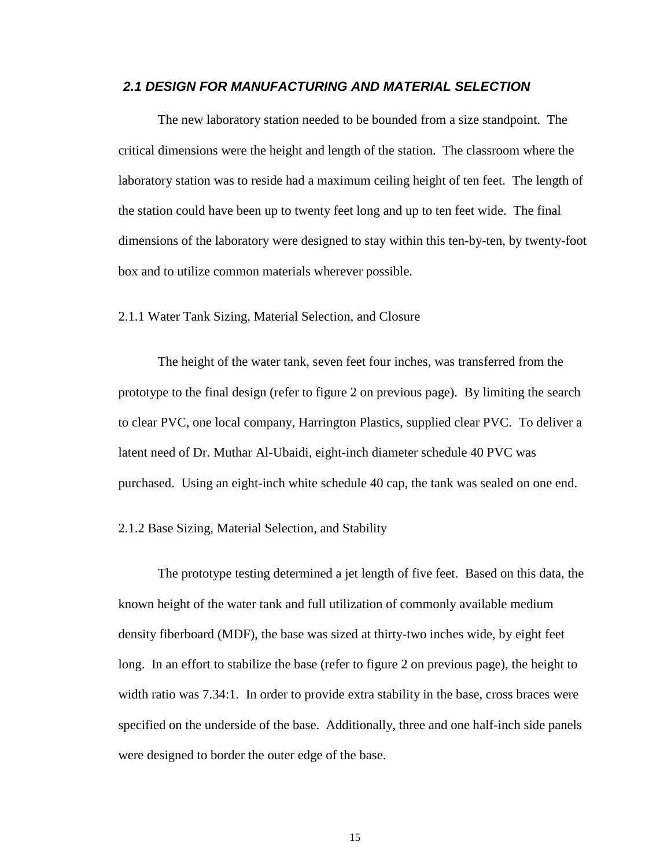### *2.1 DESIGN FOR MANUFACTURING AND MATERIAL SELECTION*

The new laboratory station needed to be bounded from a size standpoint. The critical dimensions were the height and length of the station. The classroom where the laboratory station was to reside had a maximum ceiling height of ten feet. The length of the station could have been up to twenty feet long and up to ten feet wide. The final dimensions of the laboratory were designed to stay within this ten-by-ten, by twenty-foot box and to utilize common materials wherever possible.

#### 2.1.1 Water Tank Sizing, Material Selection, and Closure

The height of the water tank, seven feet four inches, was transferred from the prototype to the final design (refer to figure 2 on previous page). By limiting the search to clear PVC, one local company, Harrington Plastics, supplied clear PVC. To deliver a latent need of Dr. Muthar Al-Ubaidi, eight-inch diameter schedule 40 PVC was purchased. Using an eight-inch white schedule 40 cap, the tank was sealed on one end.

#### 2.1.2 Base Sizing, Material Selection, and Stability

The prototype testing determined a jet length of five feet. Based on this data, the known height of the water tank and full utilization of commonly available medium density fiberboard (MDF), the base was sized at thirty-two inches wide, by eight feet long. In an effort to stabilize the base (refer to figure 2 on previous page), the height to width ratio was 7.34:1. In order to provide extra stability in the base, cross braces were specified on the underside of the base. Additionally, three and one half-inch side panels were designed to border the outer edge of the base.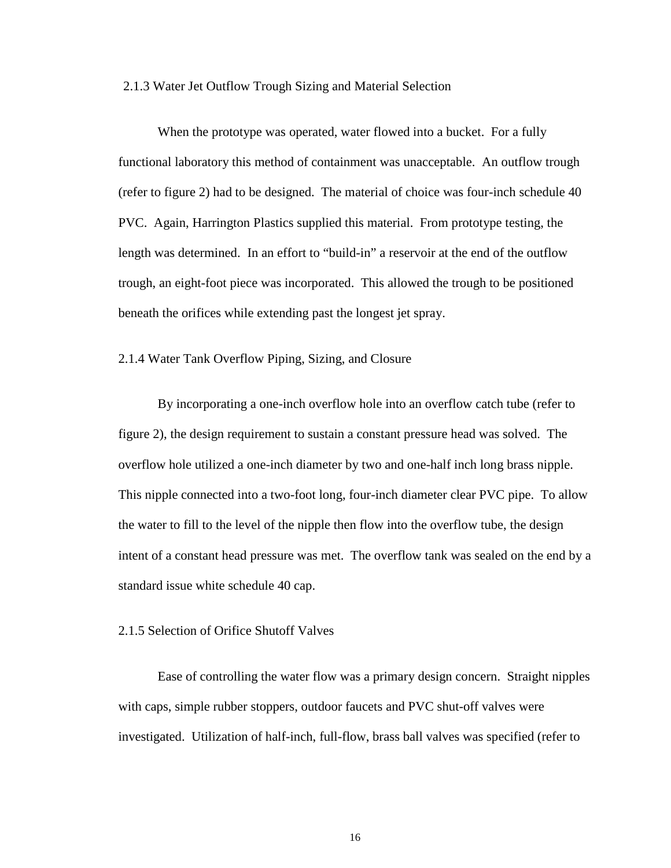#### 2.1.3 Water Jet Outflow Trough Sizing and Material Selection

When the prototype was operated, water flowed into a bucket. For a fully functional laboratory this method of containment was unacceptable. An outflow trough (refer to figure 2) had to be designed. The material of choice was four-inch schedule 40 PVC. Again, Harrington Plastics supplied this material. From prototype testing, the length was determined. In an effort to "build-in" a reservoir at the end of the outflow trough, an eight-foot piece was incorporated. This allowed the trough to be positioned beneath the orifices while extending past the longest jet spray.

2.1.4 Water Tank Overflow Piping, Sizing, and Closure

By incorporating a one-inch overflow hole into an overflow catch tube (refer to figure 2), the design requirement to sustain a constant pressure head was solved. The overflow hole utilized a one-inch diameter by two and one-half inch long brass nipple. This nipple connected into a two-foot long, four-inch diameter clear PVC pipe. To allow the water to fill to the level of the nipple then flow into the overflow tube, the design intent of a constant head pressure was met. The overflow tank was sealed on the end by a standard issue white schedule 40 cap.

#### 2.1.5 Selection of Orifice Shutoff Valves

Ease of controlling the water flow was a primary design concern. Straight nipples with caps, simple rubber stoppers, outdoor faucets and PVC shut-off valves were investigated. Utilization of half-inch, full-flow, brass ball valves was specified (refer to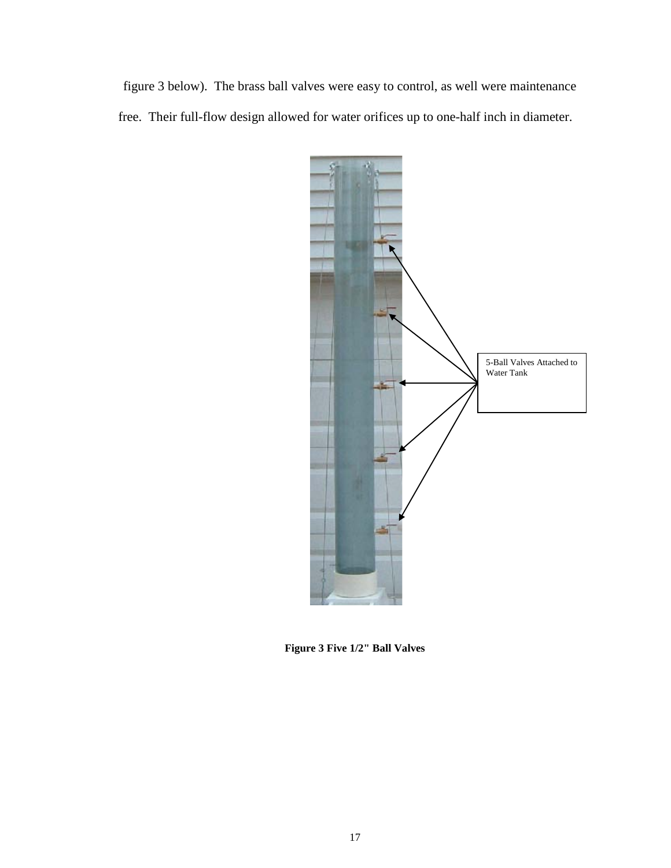figure 3 below). The brass ball valves were easy to control, as well were maintenance free. Their full-flow design allowed for water orifices up to one-half inch in diameter.



<span id="page-21-0"></span>**Figure 3 Five 1/2" Ball Valves**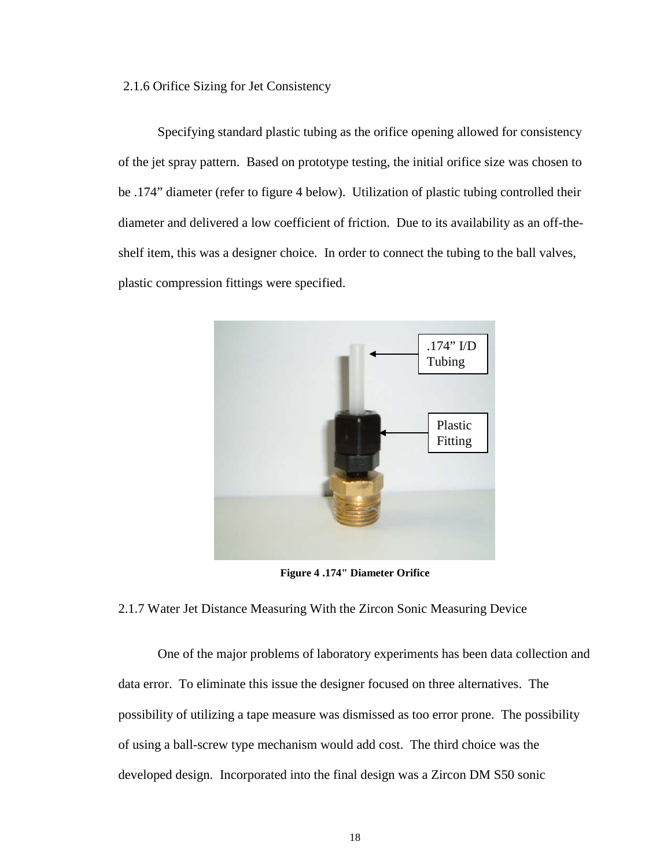#### 2.1.6 Orifice Sizing for Jet Consistency

Specifying standard plastic tubing as the orifice opening allowed for consistency of the jet spray pattern. Based on prototype testing, the initial orifice size was chosen to be .174" diameter (refer to figure 4 below). Utilization of plastic tubing controlled their diameter and delivered a low coefficient of friction. Due to its availability as an off-theshelf item, this was a designer choice. In order to connect the tubing to the ball valves, plastic compression fittings were specified.



**Figure 4 .174" Diameter Orifice**

### <span id="page-22-0"></span>2.1.7 Water Jet Distance Measuring With the Zircon Sonic Measuring Device

One of the major problems of laboratory experiments has been data collection and data error. To eliminate this issue the designer focused on three alternatives. The possibility of utilizing a tape measure was dismissed as too error prone. The possibility of using a ball-screw type mechanism would add cost. The third choice was the developed design. Incorporated into the final design was a Zircon DM S50 sonic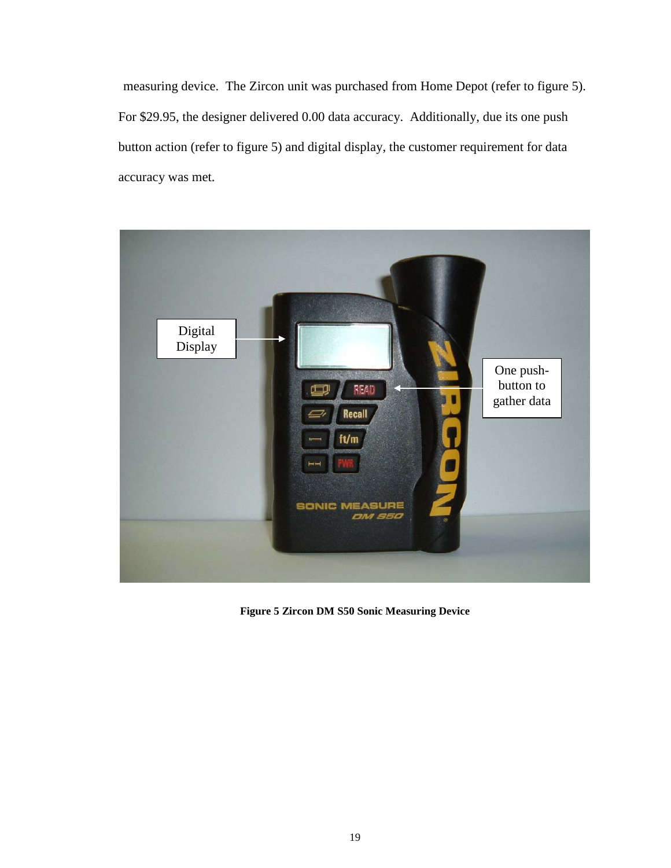measuring device. The Zircon unit was purchased from Home Depot (refer to figure 5). For \$29.95, the designer delivered 0.00 data accuracy. Additionally, due its one push button action (refer to figure 5) and digital display, the customer requirement for data accuracy was met.

<span id="page-23-0"></span>

**Figure 5 Zircon DM S50 Sonic Measuring Device**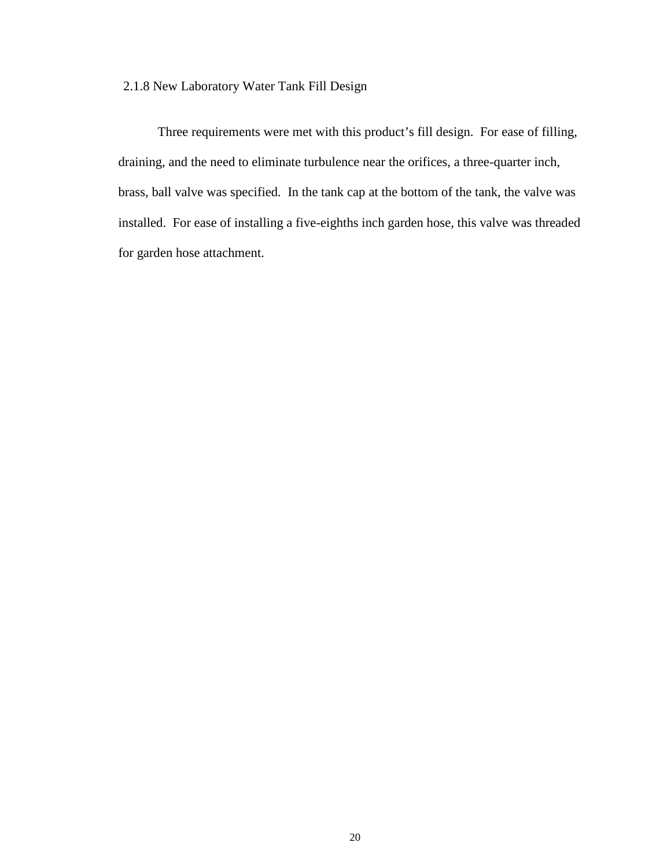### 2.1.8 New Laboratory Water Tank Fill Design

Three requirements were met with this product's fill design. For ease of filling, draining, and the need to eliminate turbulence near the orifices, a three-quarter inch, brass, ball valve was specified. In the tank cap at the bottom of the tank, the valve was installed. For ease of installing a five-eighths inch garden hose, this valve was threaded for garden hose attachment.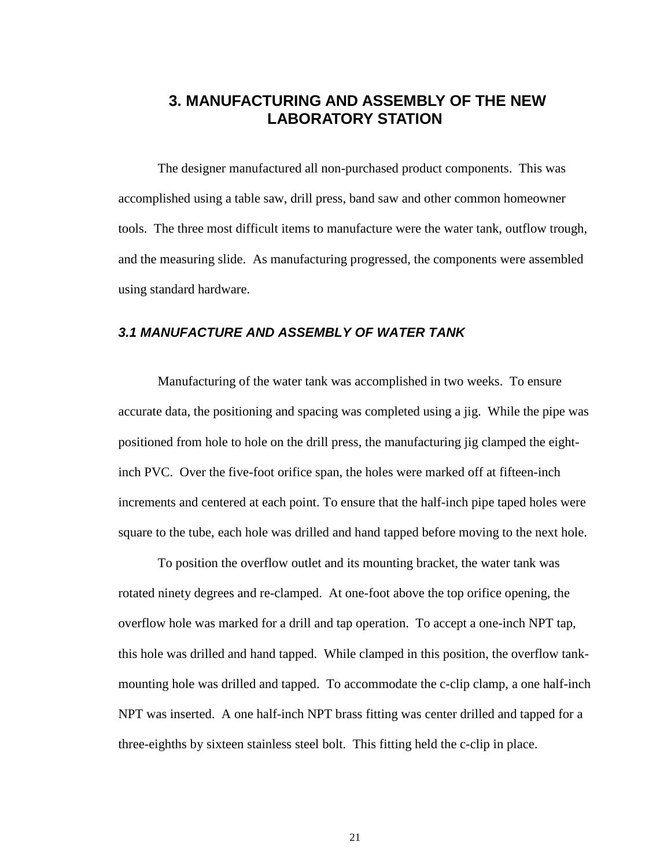### **3. MANUFACTURING AND ASSEMBLY OF THE NEW LABORATORY STATION**

The designer manufactured all non-purchased product components. This was accomplished using a table saw, drill press, band saw and other common homeowner tools. The three most difficult items to manufacture were the water tank, outflow trough, and the measuring slide. As manufacturing progressed, the components were assembled using standard hardware.

### *3.1 MANUFACTURE AND ASSEMBLY OF WATER TANK*

Manufacturing of the water tank was accomplished in two weeks. To ensure accurate data, the positioning and spacing was completed using a jig. While the pipe was positioned from hole to hole on the drill press, the manufacturing jig clamped the eightinch PVC. Over the five-foot orifice span, the holes were marked off at fifteen-inch increments and centered at each point. To ensure that the half-inch pipe taped holes were square to the tube, each hole was drilled and hand tapped before moving to the next hole.

To position the overflow outlet and its mounting bracket, the water tank was rotated ninety degrees and re-clamped. At one-foot above the top orifice opening, the overflow hole was marked for a drill and tap operation. To accept a one-inch NPT tap, this hole was drilled and hand tapped. While clamped in this position, the overflow tankmounting hole was drilled and tapped. To accommodate the c-clip clamp, a one half-inch NPT was inserted. A one half-inch NPT brass fitting was center drilled and tapped for a three-eighths by sixteen stainless steel bolt. This fitting held the c-clip in place.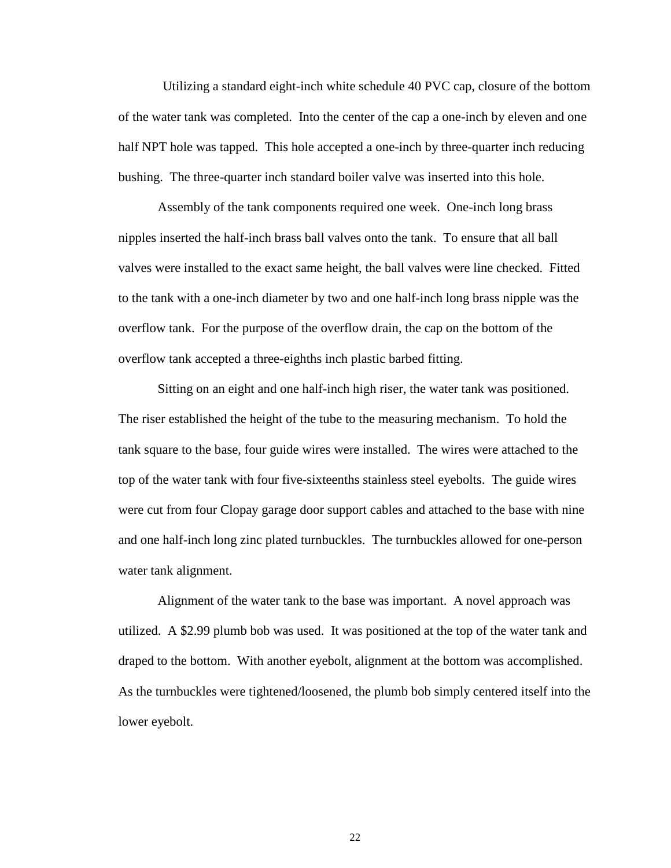Utilizing a standard eight-inch white schedule 40 PVC cap, closure of the bottom of the water tank was completed. Into the center of the cap a one-inch by eleven and one half NPT hole was tapped. This hole accepted a one-inch by three-quarter inch reducing bushing. The three-quarter inch standard boiler valve was inserted into this hole.

Assembly of the tank components required one week. One-inch long brass nipples inserted the half-inch brass ball valves onto the tank. To ensure that all ball valves were installed to the exact same height, the ball valves were line checked. Fitted to the tank with a one-inch diameter by two and one half-inch long brass nipple was the overflow tank. For the purpose of the overflow drain, the cap on the bottom of the overflow tank accepted a three-eighths inch plastic barbed fitting.

Sitting on an eight and one half-inch high riser, the water tank was positioned. The riser established the height of the tube to the measuring mechanism. To hold the tank square to the base, four guide wires were installed. The wires were attached to the top of the water tank with four five-sixteenths stainless steel eyebolts. The guide wires were cut from four Clopay garage door support cables and attached to the base with nine and one half-inch long zinc plated turnbuckles. The turnbuckles allowed for one-person water tank alignment.

Alignment of the water tank to the base was important. A novel approach was utilized. A \$2.99 plumb bob was used. It was positioned at the top of the water tank and draped to the bottom. With another eyebolt, alignment at the bottom was accomplished. As the turnbuckles were tightened/loosened, the plumb bob simply centered itself into the lower eyebolt.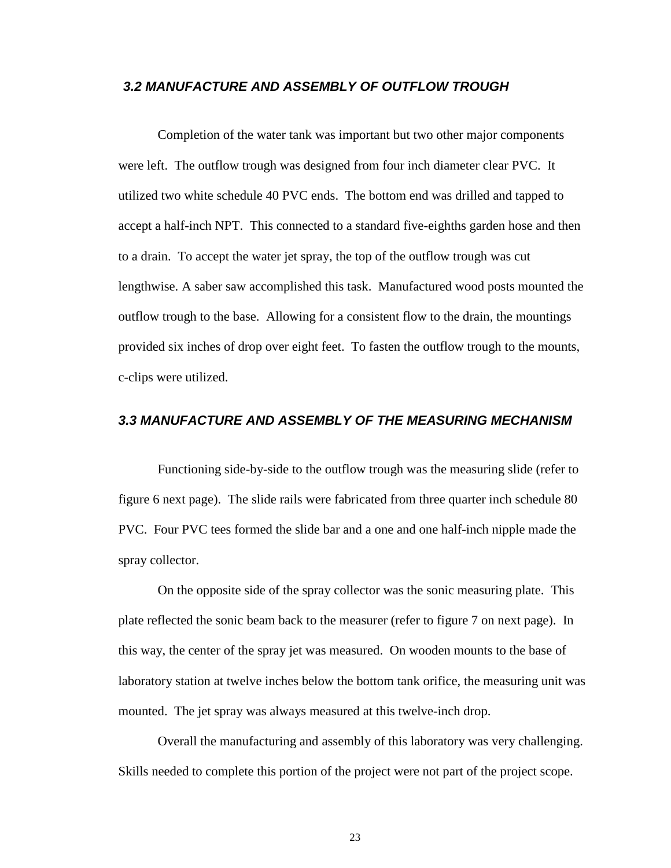### *3.2 MANUFACTURE AND ASSEMBLY OF OUTFLOW TROUGH*

Completion of the water tank was important but two other major components were left. The outflow trough was designed from four inch diameter clear PVC. It utilized two white schedule 40 PVC ends. The bottom end was drilled and tapped to accept a half-inch NPT. This connected to a standard five-eighths garden hose and then to a drain. To accept the water jet spray, the top of the outflow trough was cut lengthwise. A saber saw accomplished this task. Manufactured wood posts mounted the outflow trough to the base. Allowing for a consistent flow to the drain, the mountings provided six inches of drop over eight feet. To fasten the outflow trough to the mounts, c-clips were utilized.

### *3.3 MANUFACTURE AND ASSEMBLY OF THE MEASURING MECHANISM*

Functioning side-by-side to the outflow trough was the measuring slide (refer to figure 6 next page). The slide rails were fabricated from three quarter inch schedule 80 PVC. Four PVC tees formed the slide bar and a one and one half-inch nipple made the spray collector.

On the opposite side of the spray collector was the sonic measuring plate. This plate reflected the sonic beam back to the measurer (refer to figure 7 on next page). In this way, the center of the spray jet was measured. On wooden mounts to the base of laboratory station at twelve inches below the bottom tank orifice, the measuring unit was mounted. The jet spray was always measured at this twelve-inch drop.

Overall the manufacturing and assembly of this laboratory was very challenging. Skills needed to complete this portion of the project were not part of the project scope.

23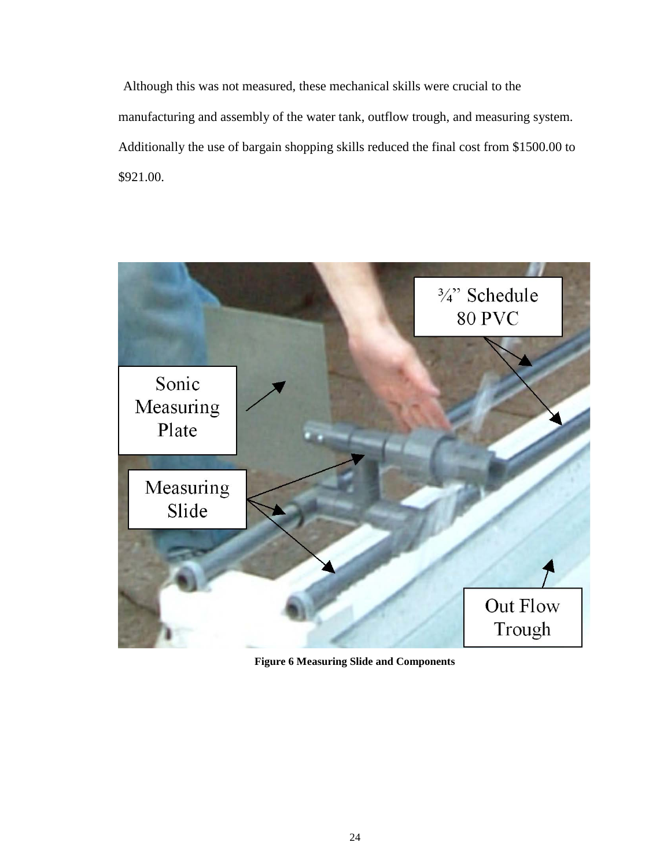Although this was not measured, these mechanical skills were crucial to the manufacturing and assembly of the water tank, outflow trough, and measuring system. Additionally the use of bargain shopping skills reduced the final cost from \$1500.00 to \$921.00.

<span id="page-28-0"></span>

**Figure 6 Measuring Slide and Components**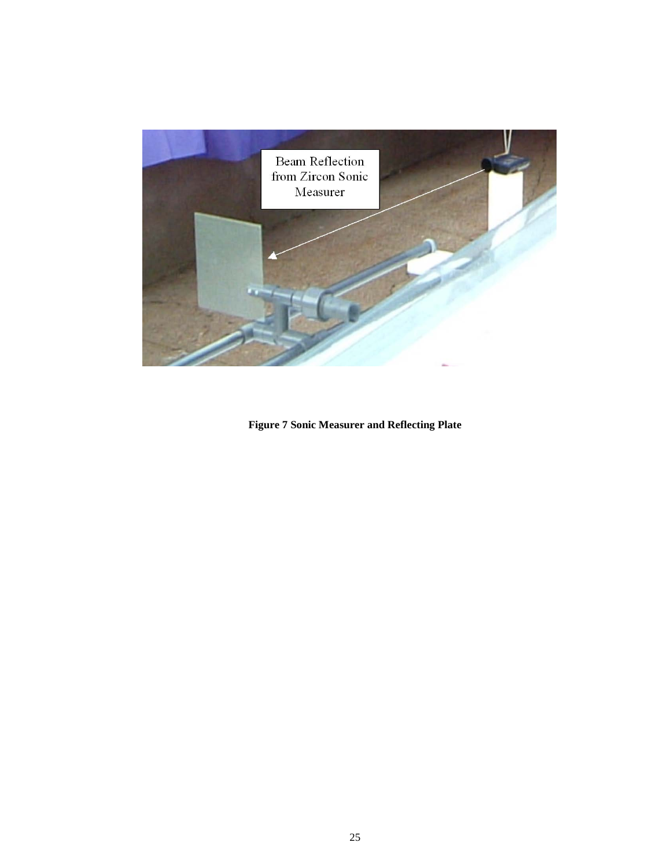

<span id="page-29-0"></span>**Figure 7 Sonic Measurer and Reflecting Plate**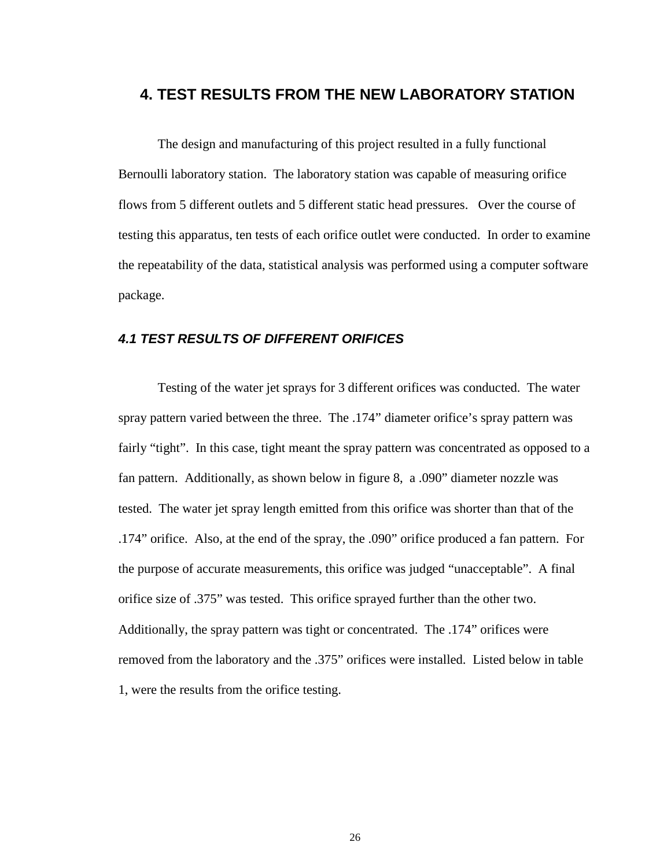### **4. TEST RESULTS FROM THE NEW LABORATORY STATION**

The design and manufacturing of this project resulted in a fully functional Bernoulli laboratory station. The laboratory station was capable of measuring orifice flows from 5 different outlets and 5 different static head pressures. Over the course of testing this apparatus, ten tests of each orifice outlet were conducted. In order to examine the repeatability of the data, statistical analysis was performed using a computer software package.

### *4.1 TEST RESULTS OF DIFFERENT ORIFICES*

Testing of the water jet sprays for 3 different orifices was conducted. The water spray pattern varied between the three. The .174" diameter orifice's spray pattern was fairly "tight". In this case, tight meant the spray pattern was concentrated as opposed to a fan pattern. Additionally, as shown below in figure 8, a .090" diameter nozzle was tested. The water jet spray length emitted from this orifice was shorter than that of the .174" orifice. Also, at the end of the spray, the .090" orifice produced a fan pattern. For the purpose of accurate measurements, this orifice was judged "unacceptable". A final orifice size of .375" was tested. This orifice sprayed further than the other two. Additionally, the spray pattern was tight or concentrated. The .174" orifices were removed from the laboratory and the .375" orifices were installed. Listed below in table 1, were the results from the orifice testing.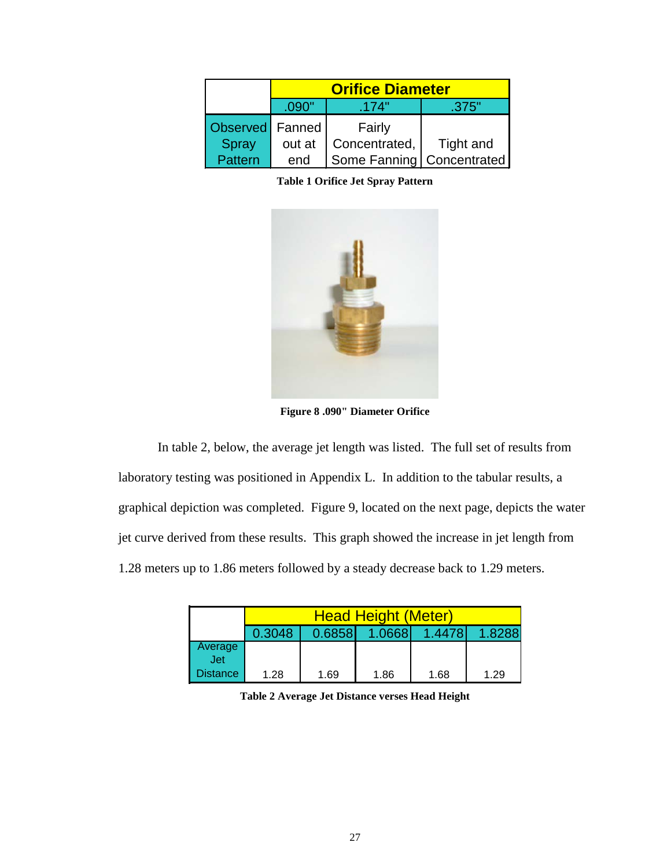<span id="page-31-1"></span>

|                   | <b>Orifice Diameter</b> |                             |           |  |  |  |
|-------------------|-------------------------|-----------------------------|-----------|--|--|--|
|                   | .090"                   | .174"                       | .375"     |  |  |  |
| Observed   Fanned |                         | Fairly                      |           |  |  |  |
| <b>Spray</b>      | out at                  | Concentrated,               | Tight and |  |  |  |
| Pattern           | end                     | Some Fanning   Concentrated |           |  |  |  |

**Table 1 Orifice Jet Spray Pattern**



**Figure 8 .090" Diameter Orifice**

<span id="page-31-0"></span>In table 2, below, the average jet length was listed. The full set of results from laboratory testing was positioned in Appendix L. In addition to the tabular results, a graphical depiction was completed. Figure 9, located on the next page, depicts the water jet curve derived from these results. This graph showed the increase in jet length from 1.28 meters up to 1.86 meters followed by a steady decrease back to 1.29 meters.

<span id="page-31-2"></span>

|            | <b>Head Height (Meter)</b> |        |        |        |        |  |  |  |
|------------|----------------------------|--------|--------|--------|--------|--|--|--|
|            | 0.3048                     | 0.6858 | 1.0668 | 1.4478 | 1.8288 |  |  |  |
| Average    |                            |        |        |        |        |  |  |  |
| <b>Jet</b> |                            |        |        |        |        |  |  |  |
| Distance   | 1.28                       | 1.69   | 1.86   | 1.68   | 1.29   |  |  |  |

**Table 2 Average Jet Distance verses Head Height**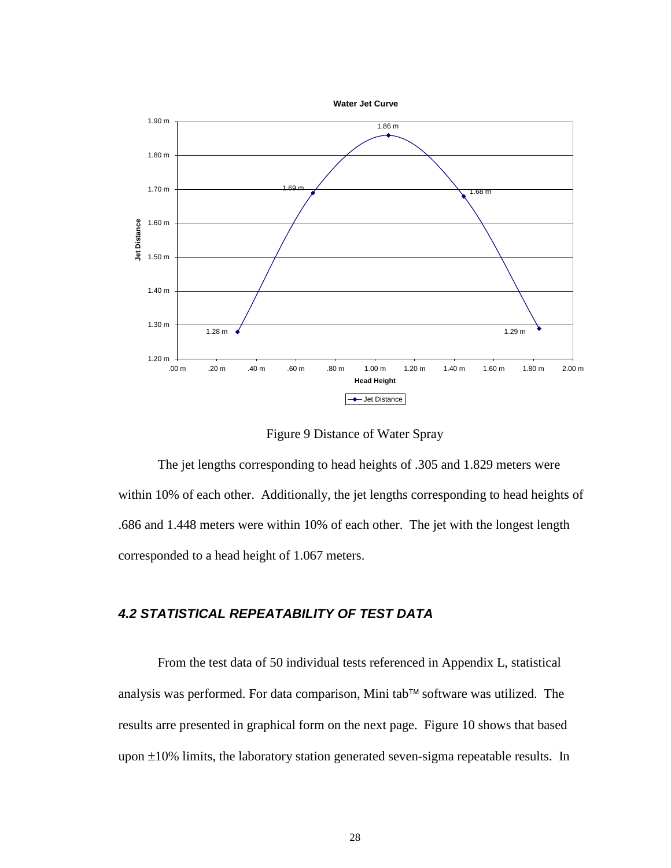

Figure 9 Distance of Water Spray

<span id="page-32-0"></span>The jet lengths corresponding to head heights of .305 and 1.829 meters were within 10% of each other. Additionally, the jet lengths corresponding to head heights of .686 and 1.448 meters were within 10% of each other. The jet with the longest length corresponded to a head height of 1.067 meters.

### *4.2 STATISTICAL REPEATABILITY OF TEST DATA*

From the test data of 50 individual tests referenced in Appendix L, statistical analysis was performed. For data comparison, Mini tab<sup> $™$ </sup> software was utilized. The results arre presented in graphical form on the next page. Figure 10 shows that based upon ±10% limits, the laboratory station generated seven-sigma repeatable results. In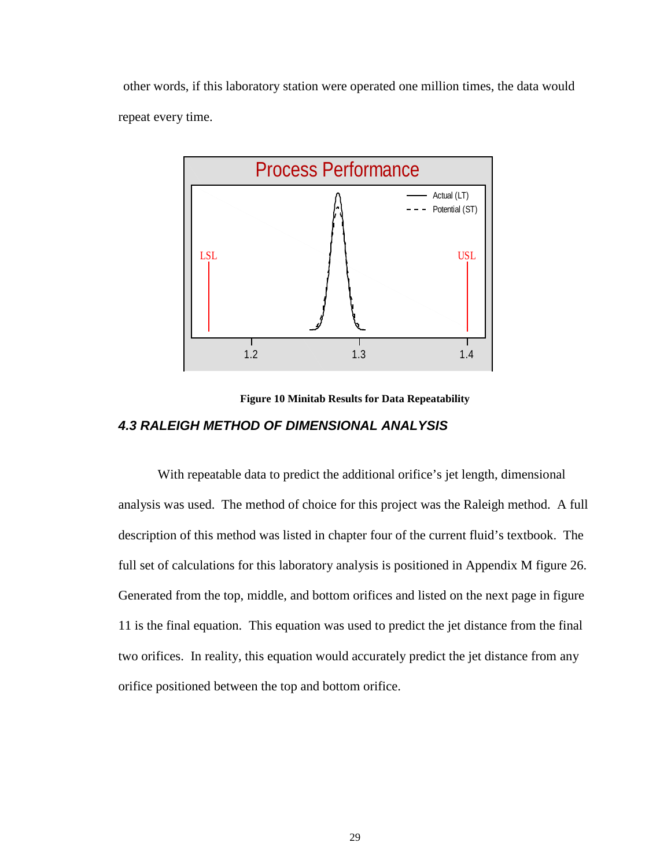other words, if this laboratory station were operated one million times, the data would repeat every time.



**Figure 10 Minitab Results for Data Repeatability**

### <span id="page-33-0"></span>*4.3 RALEIGH METHOD OF DIMENSIONAL ANALYSIS*

With repeatable data to predict the additional orifice's jet length, dimensional analysis was used. The method of choice for this project was the Raleigh method. A full description of this method was listed in chapter four of the current fluid's textbook. The full set of calculations for this laboratory analysis is positioned in Appendix M figure 26. Generated from the top, middle, and bottom orifices and listed on the next page in figure 11 is the final equation. This equation was used to predict the jet distance from the final two orifices. In reality, this equation would accurately predict the jet distance from any orifice positioned between the top and bottom orifice.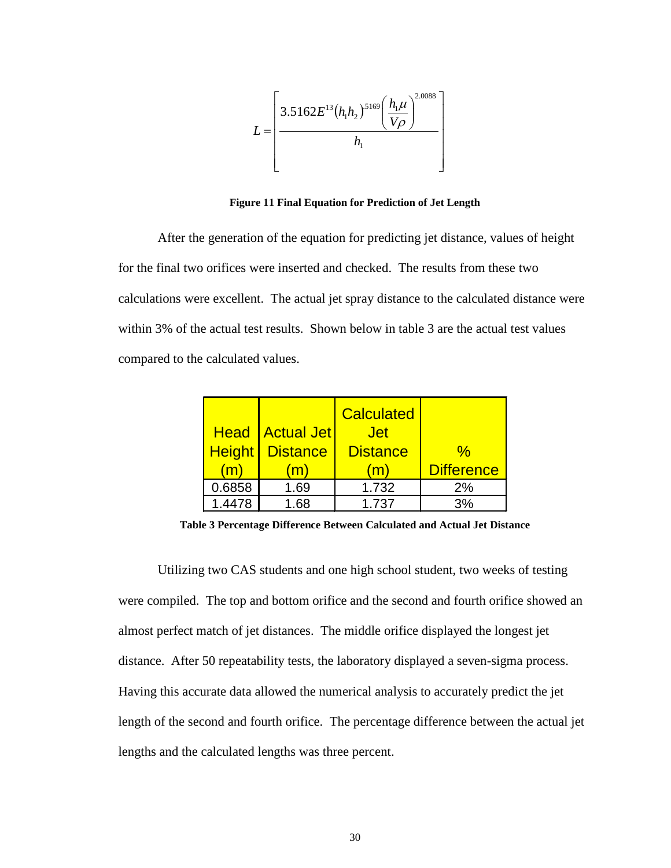

**Figure 11 Final Equation for Prediction of Jet Length**

<span id="page-34-0"></span>After the generation of the equation for predicting jet distance, values of height for the final two orifices were inserted and checked. The results from these two calculations were excellent. The actual jet spray distance to the calculated distance were within 3% of the actual test results. Shown below in table 3 are the actual test values compared to the calculated values.

| <b>Height</b><br>m | <b>Head   Actual Jet</b><br><b>Distance</b><br>m | <b>Calculated</b><br><b>Jet</b><br><b>Distance</b><br>m | $\%$<br><b>Difference</b> |
|--------------------|--------------------------------------------------|---------------------------------------------------------|---------------------------|
| 0.6858             | 1.69                                             | 1.732                                                   | 2%                        |
| 1.4478             | 1.68                                             | 1.737                                                   | 3%                        |

**Table 3 Percentage Difference Between Calculated and Actual Jet Distance**

<span id="page-34-1"></span>Utilizing two CAS students and one high school student, two weeks of testing were compiled. The top and bottom orifice and the second and fourth orifice showed an almost perfect match of jet distances. The middle orifice displayed the longest jet distance. After 50 repeatability tests, the laboratory displayed a seven-sigma process. Having this accurate data allowed the numerical analysis to accurately predict the jet length of the second and fourth orifice. The percentage difference between the actual jet lengths and the calculated lengths was three percent.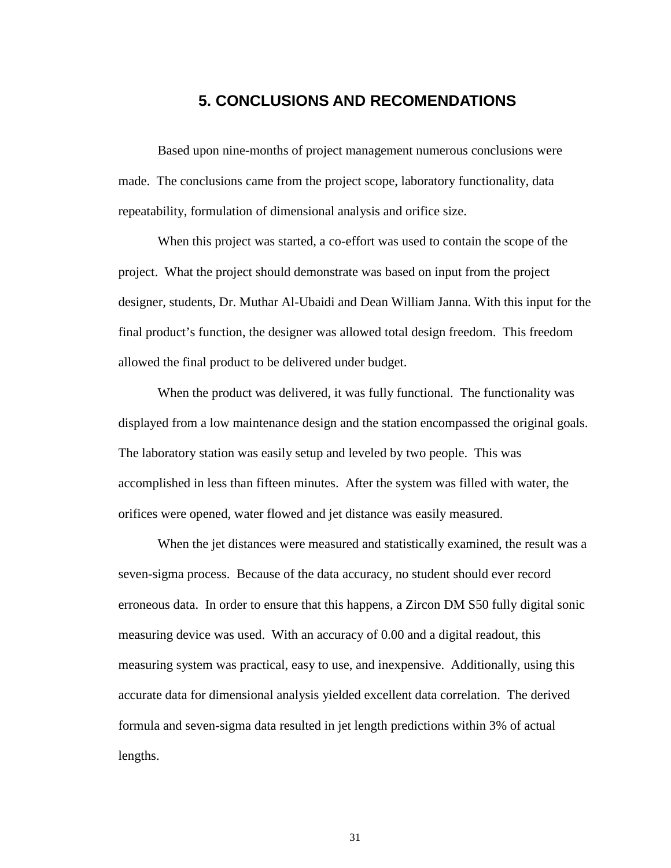### **5. CONCLUSIONS AND RECOMENDATIONS**

Based upon nine-months of project management numerous conclusions were made. The conclusions came from the project scope, laboratory functionality, data repeatability, formulation of dimensional analysis and orifice size.

When this project was started, a co-effort was used to contain the scope of the project. What the project should demonstrate was based on input from the project designer, students, Dr. Muthar Al-Ubaidi and Dean William Janna. With this input for the final product's function, the designer was allowed total design freedom. This freedom allowed the final product to be delivered under budget.

When the product was delivered, it was fully functional. The functionality was displayed from a low maintenance design and the station encompassed the original goals. The laboratory station was easily setup and leveled by two people. This was accomplished in less than fifteen minutes. After the system was filled with water, the orifices were opened, water flowed and jet distance was easily measured.

When the jet distances were measured and statistically examined, the result was a seven-sigma process. Because of the data accuracy, no student should ever record erroneous data. In order to ensure that this happens, a Zircon DM S50 fully digital sonic measuring device was used. With an accuracy of 0.00 and a digital readout, this measuring system was practical, easy to use, and inexpensive. Additionally, using this accurate data for dimensional analysis yielded excellent data correlation. The derived formula and seven-sigma data resulted in jet length predictions within 3% of actual lengths.

31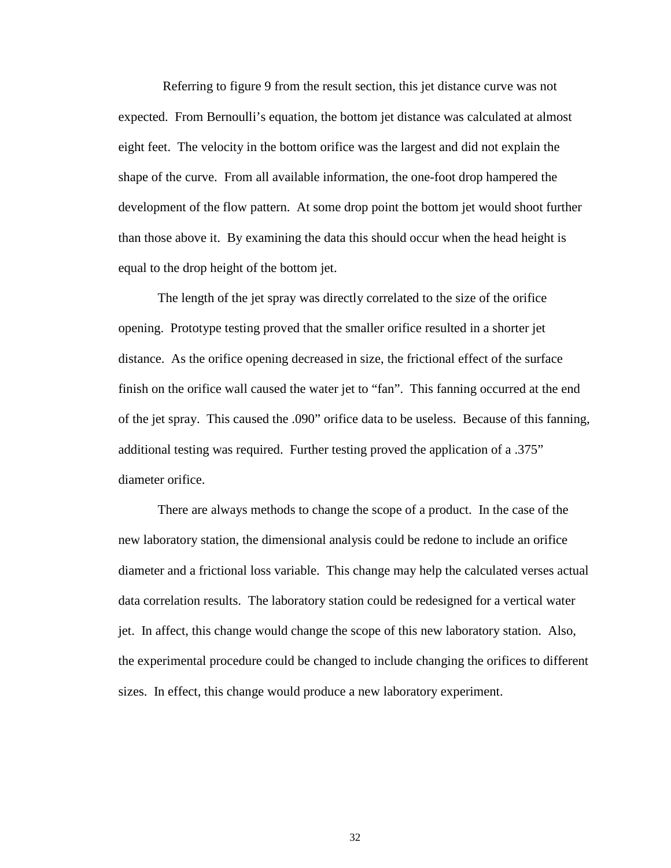Referring to figure 9 from the result section, this jet distance curve was not expected. From Bernoulli's equation, the bottom jet distance was calculated at almost eight feet. The velocity in the bottom orifice was the largest and did not explain the shape of the curve. From all available information, the one-foot drop hampered the development of the flow pattern. At some drop point the bottom jet would shoot further than those above it. By examining the data this should occur when the head height is equal to the drop height of the bottom jet.

The length of the jet spray was directly correlated to the size of the orifice opening. Prototype testing proved that the smaller orifice resulted in a shorter jet distance. As the orifice opening decreased in size, the frictional effect of the surface finish on the orifice wall caused the water jet to "fan". This fanning occurred at the end of the jet spray. This caused the .090" orifice data to be useless. Because of this fanning, additional testing was required. Further testing proved the application of a .375" diameter orifice.

There are always methods to change the scope of a product. In the case of the new laboratory station, the dimensional analysis could be redone to include an orifice diameter and a frictional loss variable. This change may help the calculated verses actual data correlation results. The laboratory station could be redesigned for a vertical water jet. In affect, this change would change the scope of this new laboratory station. Also, the experimental procedure could be changed to include changing the orifices to different sizes. In effect, this change would produce a new laboratory experiment.

32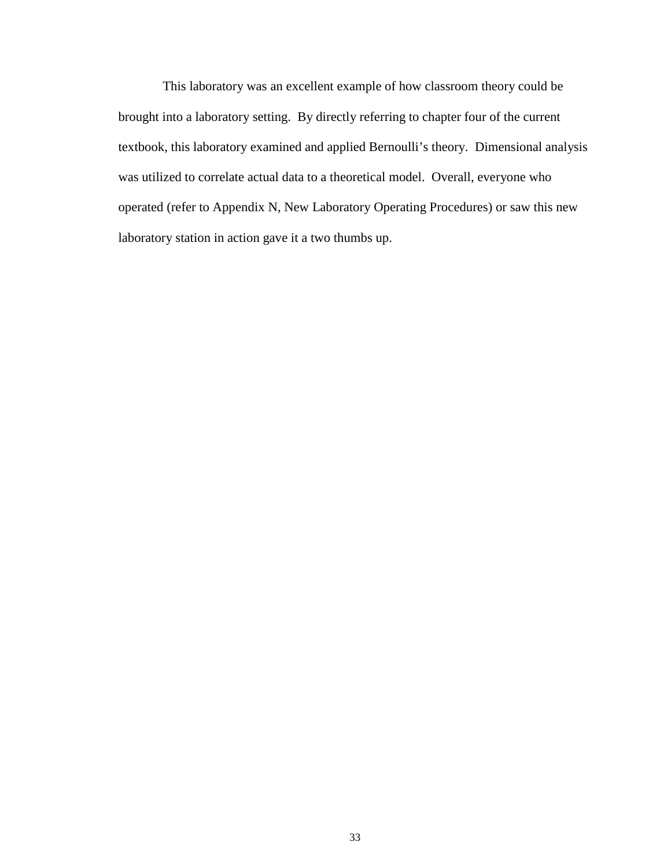This laboratory was an excellent example of how classroom theory could be brought into a laboratory setting. By directly referring to chapter four of the current textbook, this laboratory examined and applied Bernoulli's theory. Dimensional analysis was utilized to correlate actual data to a theoretical model. Overall, everyone who operated (refer to Appendix N, New Laboratory Operating Procedures) or saw this new laboratory station in action gave it a two thumbs up.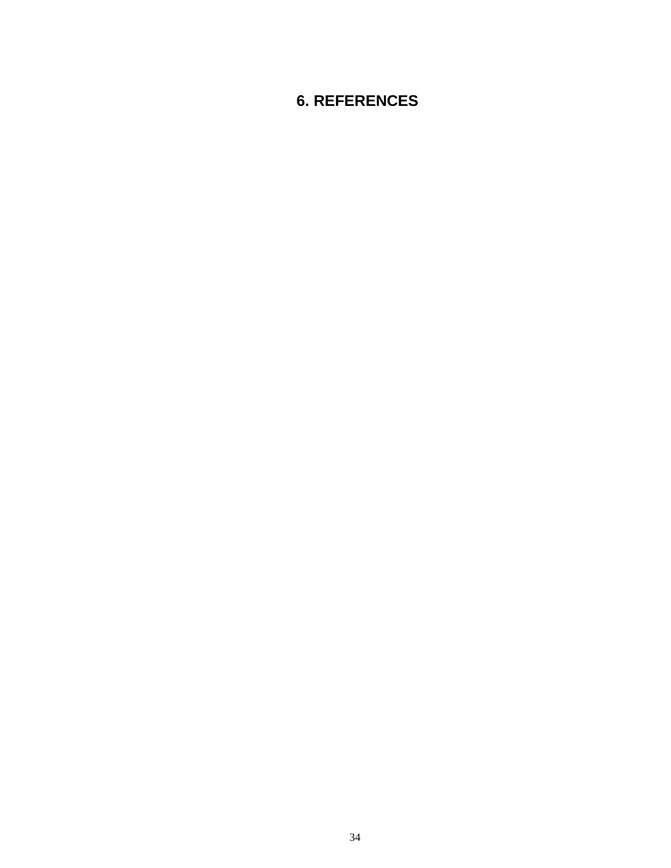## **6. REFERENCES**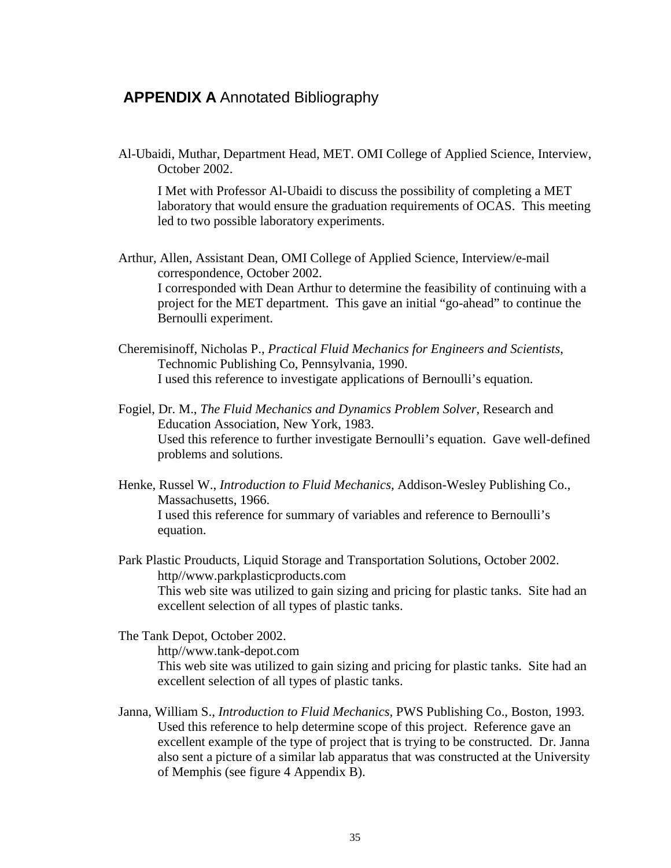### **APPENDIX A** Annotated Bibliography

Al-Ubaidi, Muthar, Department Head, MET. OMI College of Applied Science, Interview, October 2002.

I Met with Professor Al-Ubaidi to discuss the possibility of completing a MET laboratory that would ensure the graduation requirements of OCAS. This meeting led to two possible laboratory experiments.

Arthur, Allen, Assistant Dean, OMI College of Applied Science, Interview/e-mail correspondence, October 2002. I corresponded with Dean Arthur to determine the feasibility of continuing with a project for the MET department. This gave an initial "go-ahead" to continue the Bernoulli experiment.

- Cheremisinoff, Nicholas P., *Practical Fluid Mechanics for Engineers and Scientists*, Technomic Publishing Co, Pennsylvania, 1990. I used this reference to investigate applications of Bernoulli's equation.
- Fogiel, Dr. M., *The Fluid Mechanics and Dynamics Problem Solver*, Research and Education Association, New York, 1983. Used this reference to further investigate Bernoulli's equation. Gave well-defined problems and solutions.
- Henke, Russel W., *Introduction to Fluid Mechanics,* Addison-Wesley Publishing Co., Massachusetts, 1966. I used this reference for summary of variables and reference to Bernoulli's equation.

Park Plastic Prouducts, Liquid Storage and Transportation Solutions, October 2002. http//www.parkplasticproducts.com This web site was utilized to gain sizing and pricing for plastic tanks. Site had an excellent selection of all types of plastic tanks.

The Tank Depot, October 2002.

http//www.tank-depot.com

This web site was utilized to gain sizing and pricing for plastic tanks. Site had an excellent selection of all types of plastic tanks.

Janna, William S., *Introduction to Fluid Mechanics,* PWS Publishing Co., Boston, 1993. Used this reference to help determine scope of this project. Reference gave an excellent example of the type of project that is trying to be constructed. Dr. Janna also sent a picture of a similar lab apparatus that was constructed at the University of Memphis (see figure 4 Appendix B).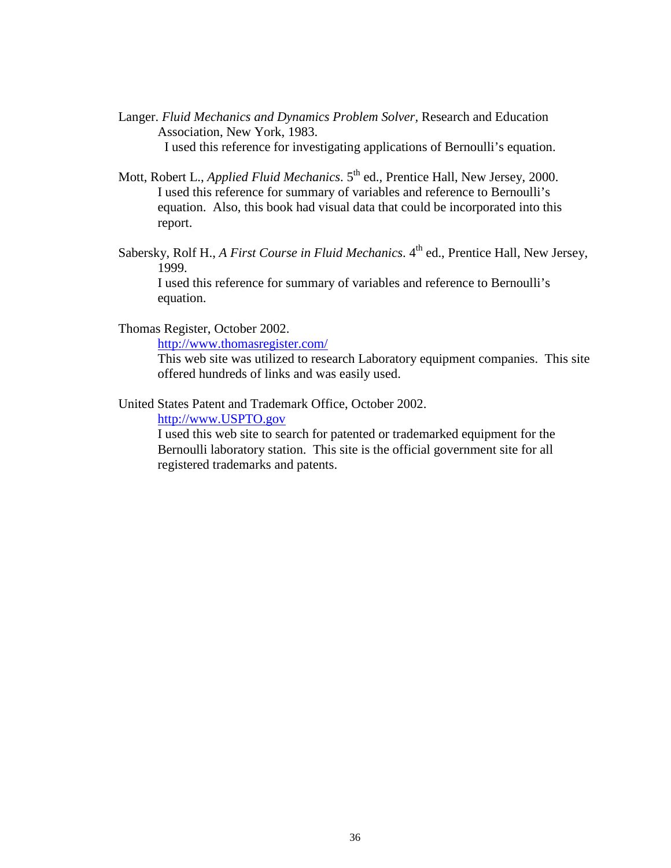- Langer. *Fluid Mechanics and Dynamics Problem Solver,* Research and Education Association, New York, 1983. I used this reference for investigating applications of Bernoulli's equation.
- Mott, Robert L., *Applied Fluid Mechanics*. 5<sup>th</sup> ed., Prentice Hall, New Jersey, 2000. I used this reference for summary of variables and reference to Bernoulli's equation. Also, this book had visual data that could be incorporated into this report.
- Sabersky, Rolf H., *A First Course in Fluid Mechanics*. 4<sup>th</sup> ed., Prentice Hall, New Jersey, 1999.

I used this reference for summary of variables and reference to Bernoulli's equation.

Thomas Register, October 2002.

<http://www.thomasregister.com/>

This web site was utilized to research Laboratory equipment companies. This site offered hundreds of links and was easily used.

United States Patent and Trademark Office, October 2002.

[http://www.USPTO.gov](http://www.uspto.gov/)

I used this web site to search for patented or trademarked equipment for the Bernoulli laboratory station. This site is the official government site for all registered trademarks and patents.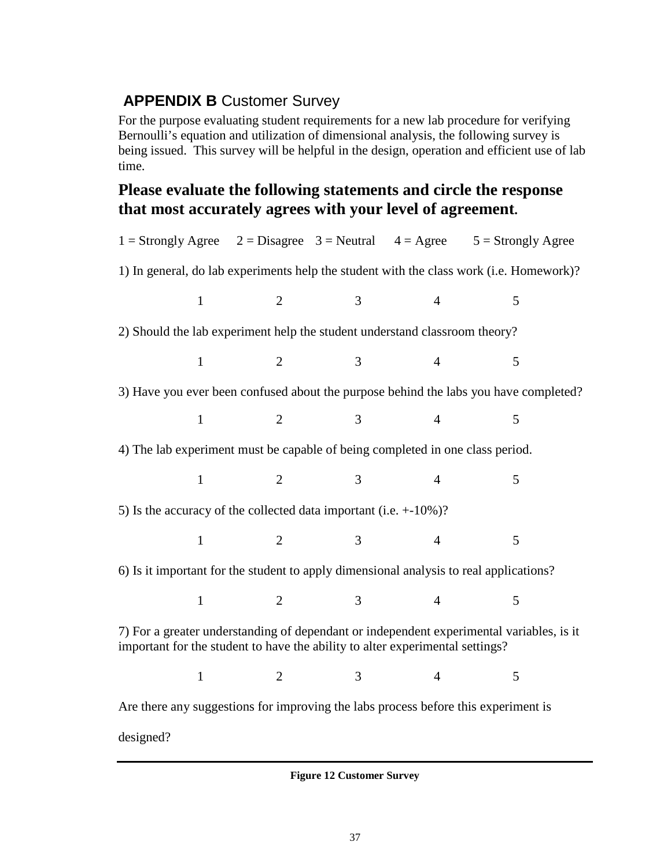## **APPENDIX B Customer Survey**

For the purpose evaluating student requirements for a new lab procedure for verifying Bernoulli's equation and utilization of dimensional analysis, the following survey is being issued. This survey will be helpful in the design, operation and efficient use of lab time.

## **Please evaluate the following statements and circle the response that most accurately agrees with your level of agreement.**

| 1 = Strongly Agree $2 = Disagree 3 = Neutral 4 = Agee 5 = Strongly Agee$                                                                                                  |                |                |                |                                                                                         |  |  |  |  |
|---------------------------------------------------------------------------------------------------------------------------------------------------------------------------|----------------|----------------|----------------|-----------------------------------------------------------------------------------------|--|--|--|--|
|                                                                                                                                                                           |                |                |                | 1) In general, do lab experiments help the student with the class work (i.e. Homework)? |  |  |  |  |
| $\mathbf{1}$                                                                                                                                                              | 2              | 3              | $\overline{4}$ | 5                                                                                       |  |  |  |  |
| 2) Should the lab experiment help the student understand classroom theory?                                                                                                |                |                |                |                                                                                         |  |  |  |  |
| $\mathbf{1}$                                                                                                                                                              | $\overline{2}$ | 3              | $\overline{4}$ | 5                                                                                       |  |  |  |  |
|                                                                                                                                                                           |                |                |                | 3) Have you ever been confused about the purpose behind the labs you have completed?    |  |  |  |  |
| $\mathbf{1}$                                                                                                                                                              | $\overline{2}$ | 3              | $\overline{4}$ | 5                                                                                       |  |  |  |  |
| 4) The lab experiment must be capable of being completed in one class period.                                                                                             |                |                |                |                                                                                         |  |  |  |  |
| $\mathbf{1}$                                                                                                                                                              | $\overline{2}$ | 3              | $\overline{4}$ | 5                                                                                       |  |  |  |  |
| 5) Is the accuracy of the collected data important (i.e. $+10\%$ )?                                                                                                       |                |                |                |                                                                                         |  |  |  |  |
| $\mathbf{1}$                                                                                                                                                              | $\overline{2}$ | $\overline{3}$ | $\overline{4}$ | 5                                                                                       |  |  |  |  |
| 6) Is it important for the student to apply dimensional analysis to real applications?                                                                                    |                |                |                |                                                                                         |  |  |  |  |
| $\mathbf{1}$                                                                                                                                                              | 2              | 3              | $\overline{4}$ | 5                                                                                       |  |  |  |  |
| 7) For a greater understanding of dependant or independent experimental variables, is it<br>important for the student to have the ability to alter experimental settings? |                |                |                |                                                                                         |  |  |  |  |
| $\mathbf{1}$                                                                                                                                                              | $\overline{2}$ | 3              | $\overline{4}$ | 5                                                                                       |  |  |  |  |
| Are there any suggestions for improving the labs process before this experiment is                                                                                        |                |                |                |                                                                                         |  |  |  |  |
| designed?                                                                                                                                                                 |                |                |                |                                                                                         |  |  |  |  |

<span id="page-41-0"></span>**Figure 12 Customer Survey**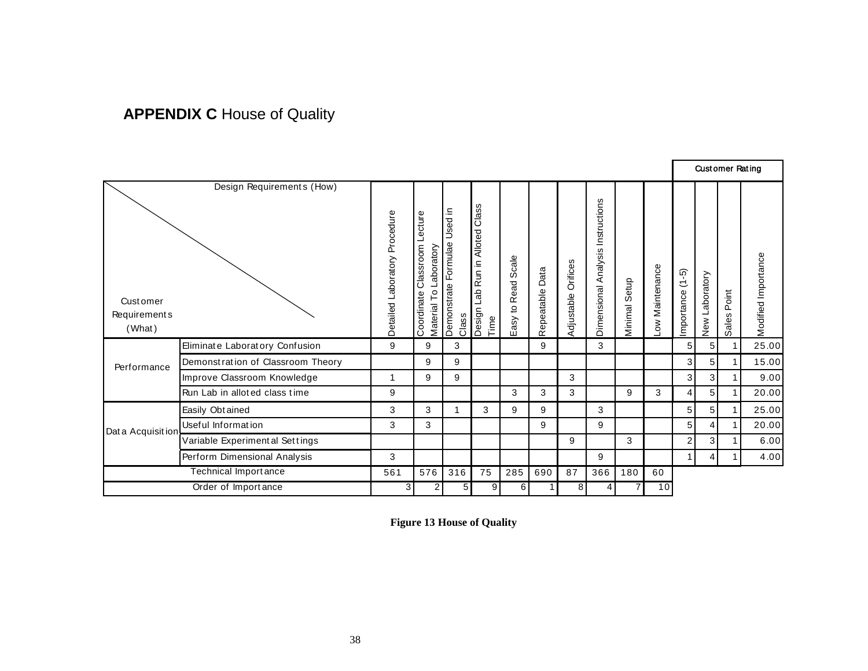# **APPENDIX C** House of Quality

|                                            |                                   |                               |                                                                |                                          |                                                  |                                          |                 |                        |                                      |                  |                                 |                       | <b>Customer Rating</b> |                |                     |
|--------------------------------------------|-----------------------------------|-------------------------------|----------------------------------------------------------------|------------------------------------------|--------------------------------------------------|------------------------------------------|-----------------|------------------------|--------------------------------------|------------------|---------------------------------|-----------------------|------------------------|----------------|---------------------|
| <b>Customer</b><br>Requirement s<br>(What) | Design Requirements (How)         | Detailed Laboratory Procedure | ecture<br>Classroom<br>Laboratory<br>Material To<br>Coordinate | Used in<br>Demonstrate Formulae<br>Class | Class<br>Run in Alloted<br>de⊐<br>Design<br>Time | Scale<br>Read<br>$\mathbf{S}$<br>$E$ asy | Repeatable Data | Orifices<br>Adjustable | Instructions<br>Dimensional Analysis | Setup<br>Minimal | Maintenance<br>$\sum_{i=1}^{n}$ | $(1-5)$<br>Importance | New Laboratory         | Point<br>Sales | Modified Importance |
|                                            | Eliminate Laboratory Confusion    | 9                             | 9                                                              | 3                                        |                                                  |                                          | 9               |                        | 3                                    |                  |                                 | 5                     | 5 <sub>1</sub>         |                | 25.00               |
| Performance                                | Demonstration of Classroom Theory |                               | 9                                                              | 9                                        |                                                  |                                          |                 |                        |                                      |                  |                                 | 3                     | 5 <sub>1</sub>         | $\mathbf 1$    | 15.00               |
|                                            | Improve Classroom Knowledge       | 1                             | 9                                                              | 9                                        |                                                  |                                          |                 | 3                      |                                      |                  |                                 | 3                     | 3 <sup>1</sup>         |                | 9.00                |
|                                            | Run Lab in alloted class time     | 9                             |                                                                |                                          |                                                  | 3                                        | 3               | 3                      |                                      | 9                | 3                               | 4                     | 5                      |                | 20.00               |
|                                            | Easily Obtained                   | 3                             | 3                                                              |                                          | 3                                                | 9                                        | 9               |                        | 3                                    |                  |                                 | $\sqrt{5}$            | 5 <sub>1</sub>         |                | 25.00               |
| Dat a Acquisition                          | Useful Information                | 3                             | 3                                                              |                                          |                                                  |                                          | 9               |                        | 9                                    |                  |                                 | 5 <sup>5</sup>        | 4                      |                | 20.00               |
|                                            | Variable Experimental Settings    |                               |                                                                |                                          |                                                  |                                          |                 | 9                      |                                      | 3                |                                 | $\overline{a}$        | 3                      |                | 6.00                |
|                                            | Perform Dimensional Analysis      | 3                             |                                                                |                                          |                                                  |                                          |                 |                        | 9                                    |                  |                                 | 1                     | 4 <sup>1</sup>         |                | 4.00                |
|                                            | <b>Technical Importance</b>       | 561                           | 576                                                            | 316                                      | 75                                               | 285                                      | 690             | 87                     | 366                                  | 180              | 60                              |                       |                        |                |                     |
|                                            | Order of Importance               | 3                             | 2                                                              | 5 <sup>1</sup>                           | 9                                                | 6                                        |                 | 8                      | 4                                    |                  | 10                              |                       |                        |                |                     |

<span id="page-42-0"></span>**Figure 13 House of Quality**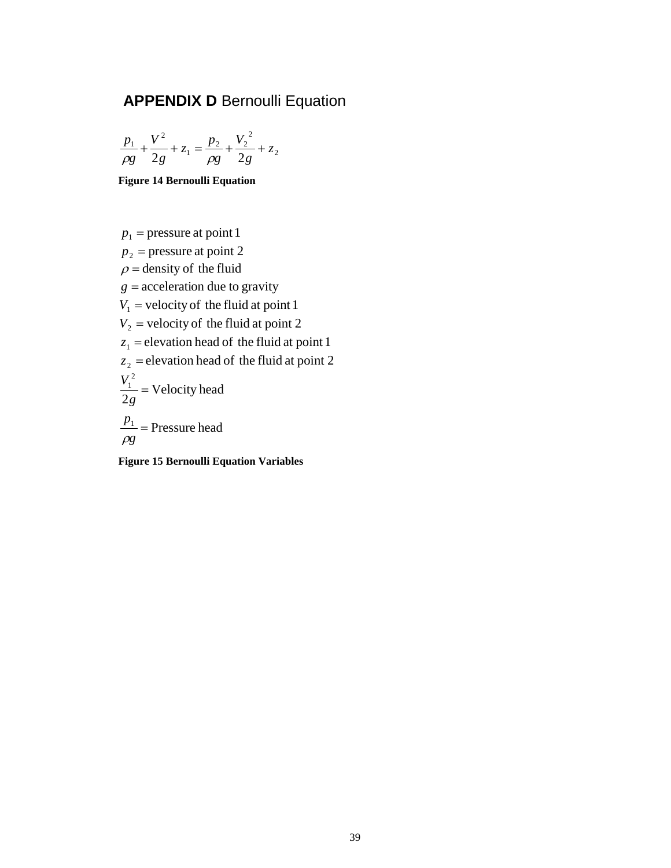## **APPENDIX D Bernoulli Equation**

$$
\frac{p_1}{\rho g} + \frac{V^2}{2g} + z_1 = \frac{p_2}{\rho g} + \frac{V_2^2}{2g} + z_2
$$

<span id="page-43-0"></span>**Figure 14 Bernoulli Equation**

<span id="page-43-1"></span> $p_1$  = pressure at point 1  $p_2$  = pressure at point 2  $\rho$  = density of the fluid  $g =$  acceleration due to gravity  $V_1$  = velocity of the fluid at point 1  $V_2$  = velocity of the fluid at point 2  $z_1$  = elevation head of the fluid at point 1  $z_2$  = elevation head of the fluid at point 2 Velocity head 2 2  $\frac{V_1^2}{2g} =$  $\frac{p_1}{\rho g}$  = Pressure head  $\rho_{\rm c}$ **Figure 15 Bernoulli Equation Variables**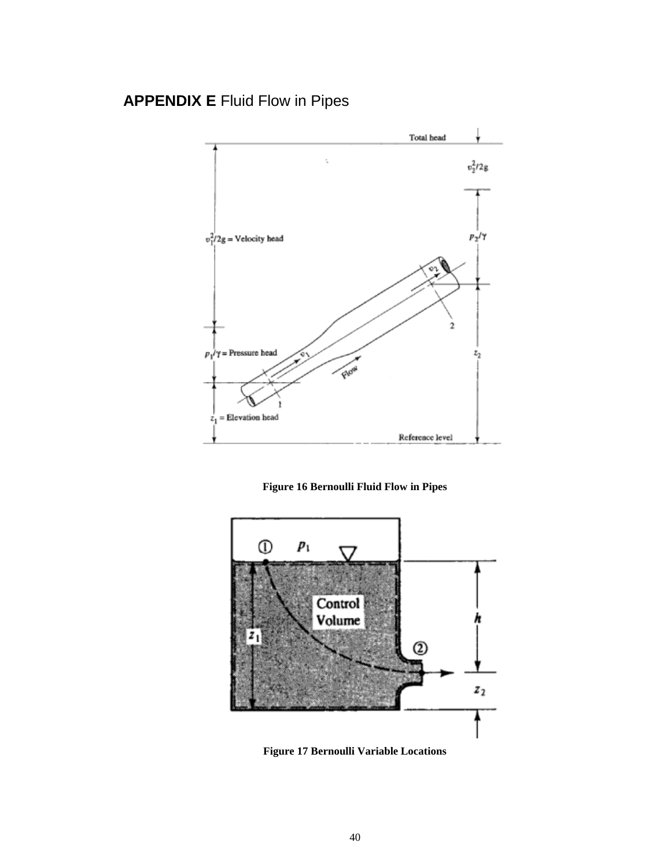## **APPENDIX E** Fluid Flow in Pipes



**Figure 16 Bernoulli Fluid Flow in Pipes**

<span id="page-44-0"></span>

<span id="page-44-1"></span>**Figure 17 Bernoulli Variable Locations**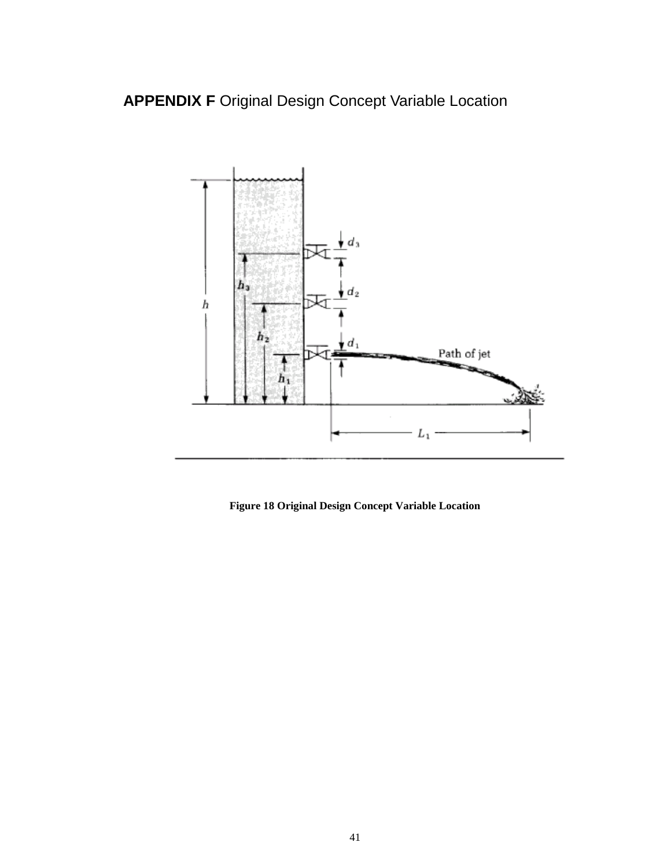**APPENDIX F** Original Design Concept Variable Location



<span id="page-45-0"></span>**Figure 18 Original Design Concept Variable Location**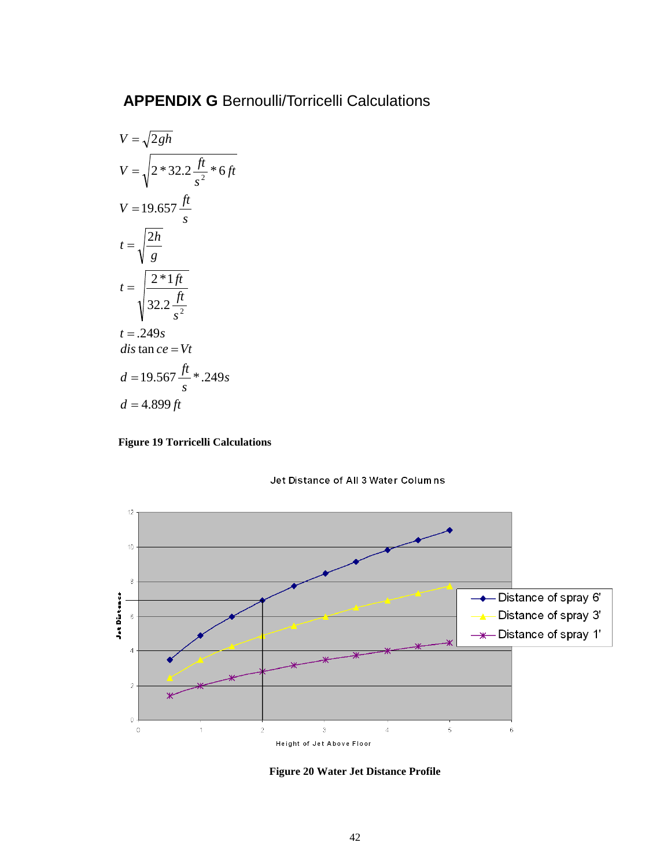## <span id="page-46-0"></span>**APPENDIX G** Bernoulli/Torricelli Calculations

$$
V = \sqrt{2gh}
$$
  
\n
$$
V = \sqrt{2*32.2 \frac{ft}{s^2} * 6ft}
$$
  
\n
$$
V = 19.657 \frac{ft}{s}
$$
  
\n
$$
t = \sqrt{\frac{2h}{g}}
$$
  
\n
$$
t = \sqrt{\frac{2*1ft}{32.2 \frac{ft}{s^2}}}
$$
  
\n
$$
t = .249s
$$
  
\n
$$
di \sin ce = Vt
$$
  
\n
$$
d = 19.567 \frac{ft}{s} * .249s
$$
  
\n
$$
d = 4.899 ft
$$







<span id="page-46-1"></span>**Figure 20 Water Jet Distance Profile**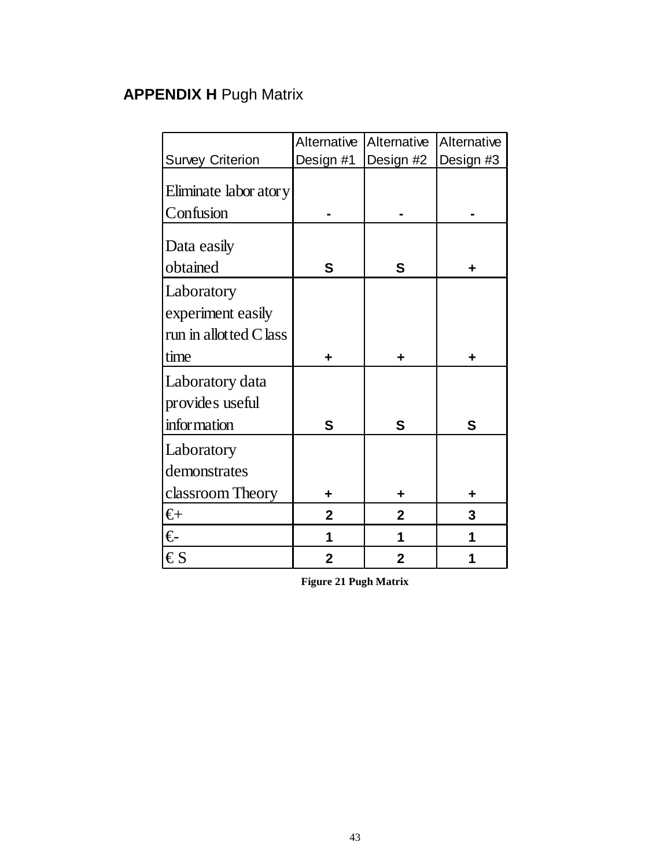# **APPENDIX H** Pugh Matrix

|                         | Alternative    | Alternative    | Alternative |
|-------------------------|----------------|----------------|-------------|
| <b>Survey Criterion</b> | Design #1      | Design #2      | Design #3   |
| Eliminate labor atory   |                |                |             |
| Confusion               |                |                |             |
| Data easily<br>obtained | S              | S              | ٠           |
| Laboratory              |                |                |             |
| experiment easily       |                |                |             |
| run in allotted Class   |                |                |             |
| time                    | +              | +              |             |
| Laboratory data         |                |                |             |
| provides useful         |                |                |             |
| infor mation            | S              | S              | S           |
| Laboratory              |                |                |             |
| demonstrates            |                |                |             |
| classroom Theory        | ٠              | ٠              |             |
| €⊦                      | $\overline{2}$ | $\overline{2}$ | 3           |
| €                       | 1              | 1              |             |
| $\epsilon s$            | $\overline{2}$ | $\overline{2}$ |             |

<span id="page-47-0"></span>**Figure 21 Pugh Matrix**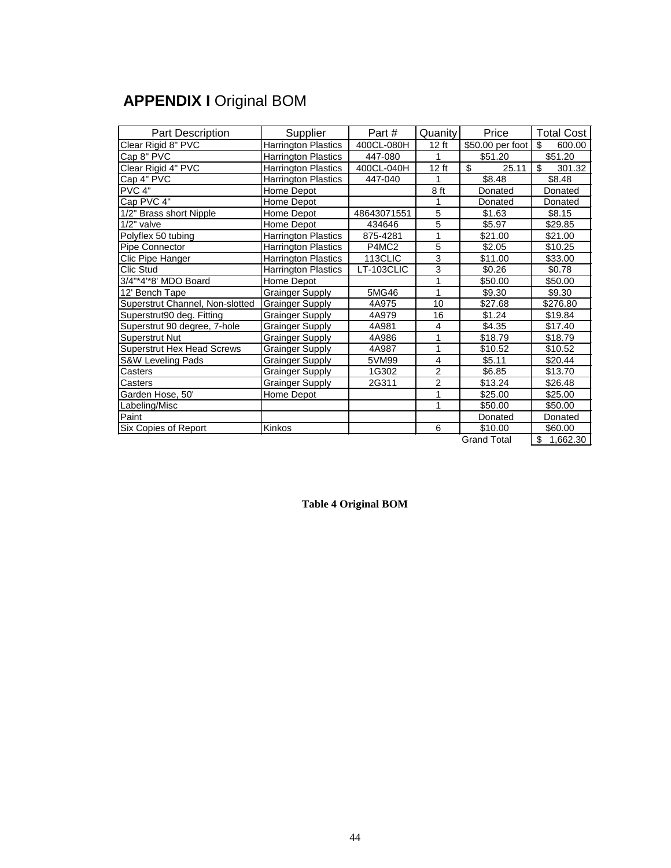# **APPENDIX I Original BOM**

| <b>Part Description</b>           | Supplier                   | Part #            | Quanity        | Price              | <b>Total Cost</b> |
|-----------------------------------|----------------------------|-------------------|----------------|--------------------|-------------------|
| Clear Rigid 8" PVC                | Harrington Plastics        | 400CL-080H        | 12 ft          | \$50.00 per foot   | \$<br>600.00      |
| Cap 8" PVC                        | Harrington Plastics        | 447-080           | 1              | \$51.20            | \$51.20           |
| Clear Rigid 4" PVC                | <b>Harrington Plastics</b> | 400CL-040H        | 12 ft          | \$<br>25.11        | \$<br>301.32      |
| Cap 4" PVC                        | Harrington Plastics        | 447-040           | 1              | \$8.48             | \$8.48            |
| PVC 4"                            | Home Depot                 |                   | 8 ft           | Donated            | Donated           |
| Cap PVC 4"                        | Home Depot                 |                   | 1              | Donated            | Donated           |
| 1/2" Brass short Nipple           | Home Depot                 | 48643071551       | 5              | \$1.63             | \$8.15            |
| $1/2"$ valve                      | Home Depot                 | 434646            | 5              | \$5.97             | \$29.85           |
| Polyflex 50 tubing                | <b>Harrington Plastics</b> | 875-4281          | 1              | \$21.00            | \$21.00           |
| Pipe Connector                    | Harrington Plastics        | P4MC <sub>2</sub> | 5              | \$2.05             | \$10.25           |
| Clic Pipe Hanger                  | <b>Harrington Plastics</b> | 113CLIC           | 3              | \$11.00            | \$33.00           |
| Clic Stud                         | <b>Harrington Plastics</b> | LT-103CLIC        | 3              | \$0.26             | \$0.78            |
| 3/4"*4'*8' MDO Board              | Home Depot                 |                   | 1              | \$50.00            | \$50.00           |
| 12' Bench Tape                    | <b>Grainger Supply</b>     | 5MG46             | 1              | \$9.30             | \$9.30            |
| Superstrut Channel, Non-slotted   | <b>Grainger Supply</b>     | 4A975             | 10             | \$27.68            | \$276.80          |
| Superstrut90 deg. Fitting         | Grainger Supply            | 4A979             | 16             | \$1.24             | \$19.84           |
| Superstrut 90 degree, 7-hole      | Grainger Supply            | 4A981             | $\overline{4}$ | \$4.35             | \$17.40           |
| Superstrut Nut                    | <b>Grainger Supply</b>     | 4A986             | 1              | \$18.79            | \$18.79           |
| <b>Superstrut Hex Head Screws</b> | <b>Grainger Supply</b>     | 4A987             | 1              | \$10.52            | \$10.52           |
| S&W Leveling Pads                 | <b>Grainger Supply</b>     | 5VM99             | $\overline{4}$ | \$5.11             | \$20.44           |
| Casters                           | <b>Grainger Supply</b>     | 1G302             | $\overline{2}$ | \$6.85             | \$13.70           |
| Casters                           | <b>Grainger Supply</b>     | 2G311             | $\overline{2}$ | \$13.24            | \$26.48           |
| Garden Hose, 50'                  | Home Depot                 |                   | 1              | \$25.00            | \$25.00           |
| Labeling/Misc                     |                            |                   | 1              | \$50.00            | \$50.00           |
| Paint                             |                            |                   |                | Donated            | Donated           |
| Six Copies of Report              | Kinkos                     |                   | 6              | \$10.00            | \$60.00           |
|                                   |                            |                   |                | <b>Grand Total</b> | \$1,662.30        |

Grand Total  $\frac{1}{3}$  1,662

<span id="page-48-0"></span>**Table 4 Original BOM**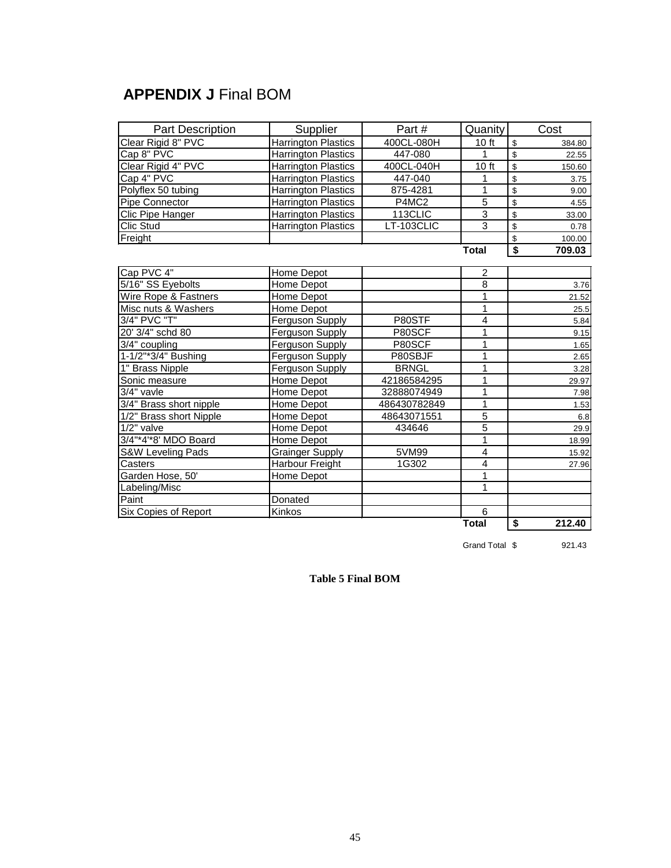## **APPENDIX J Final BOM**

| <b>Part Description</b> | Supplier                   | Part#             | Quanity        | Cost         |
|-------------------------|----------------------------|-------------------|----------------|--------------|
| Clear Rigid 8" PVC      | Harrington Plastics        | 400CL-080H        | 10 ft          | \$<br>384.80 |
| Cap 8" PVC              | Harrington Plastics        | 447-080           | 1              | \$<br>22.55  |
| Clear Rigid 4" PVC      | <b>Harrington Plastics</b> | 400CL-040H        | 10 ft          | \$<br>150.60 |
| Cap 4" PVC              | <b>Harrington Plastics</b> | 447-040           | 1              | \$<br>3.75   |
| Polyflex 50 tubing      | <b>Harrington Plastics</b> | 875-4281          | 1              | \$<br>9.00   |
| Pipe Connector          | <b>Harrington Plastics</b> | P4MC <sub>2</sub> | $\overline{5}$ | \$<br>4.55   |
| Clic Pipe Hanger        | <b>Harrington Plastics</b> | 113CLIC           | 3              | \$<br>33.00  |
| Clic Stud               | <b>Harrington Plastics</b> | LT-103CLIC        | $\overline{3}$ | \$<br>0.78   |
| Freight                 |                            |                   |                | \$<br>100.00 |
|                         |                            |                   | <b>Total</b>   | \$<br>709.03 |
| Cap PVC 4"              | Home Depot                 |                   | 2              |              |
| 5/16" SS Eyebolts       | Home Depot                 |                   | 8              | 3.76         |
| Wire Rope & Fastners    | Home Depot                 |                   | 1              | 21.52        |
| Misc nuts & Washers     | Home Depot                 |                   | 1              | 25.5         |
| 3/4" PVC "T"            | Ferguson Supply            | P80STF            | $\overline{4}$ | 5.84         |
| 20' 3/4" schd 80        | Ferguson Supply            | P80SCF            | 1              | 9.15         |
| 3/4" coupling           | Ferguson Supply            | P80SCF            | 1              | 1.65         |
| 1-1/2"*3/4" Bushing     | Ferguson Supply            | P80SBJF           | 1              | 2.65         |
| 1" Brass Nipple         | Ferguson Supply            | <b>BRNGL</b>      | 1              | 3.28         |
| Sonic measure           | Home Depot                 | 42186584295       | 1              | 29.97        |
| 3/4" vavle              | Home Depot                 | 32888074949       | 1              | 7.98         |
| 3/4" Brass short nipple | Home Depot                 | 486430782849      | $\mathbf{1}$   | 1.53         |
| 1/2" Brass short Nipple | Home Depot                 | 48643071551       | $\overline{5}$ | 6.8          |
| $1/2"$ valve            | Home Depot                 | 434646            | 5              | 29.9         |
| 3/4"*4"*8' MDO Board    | Home Depot                 |                   | 1              | 18.99        |
| S&W Leveling Pads       | <b>Grainger Supply</b>     | 5VM99             | 4              | 15.92        |
| Casters                 | Harbour Freight            | 1G302             | $\overline{4}$ | 27.96        |
| Garden Hose, 50'        | Home Depot                 |                   | 1              |              |
| Labeling/Misc           |                            |                   | 1              |              |
| Paint                   | Donated                    |                   |                |              |
| Six Copies of Report    | Kinkos                     |                   | 6              |              |
|                         |                            |                   | <b>Total</b>   | \$<br>212.40 |

Grand Total  $$$  921.43

<span id="page-49-0"></span>**Table 5 Final BOM**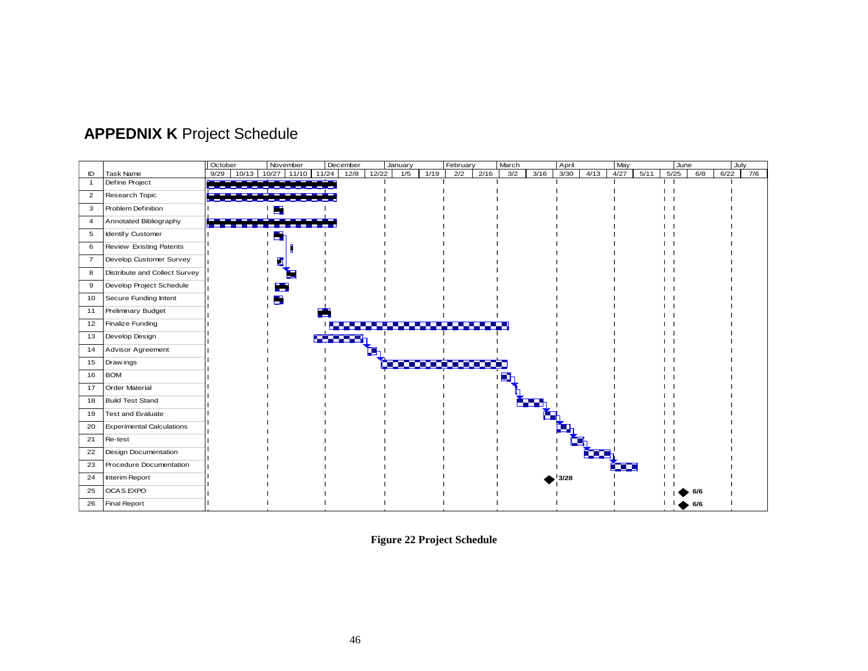

## **APPEDNIX K** Project Schedule

<span id="page-50-0"></span>**Figure 22 Project Schedule**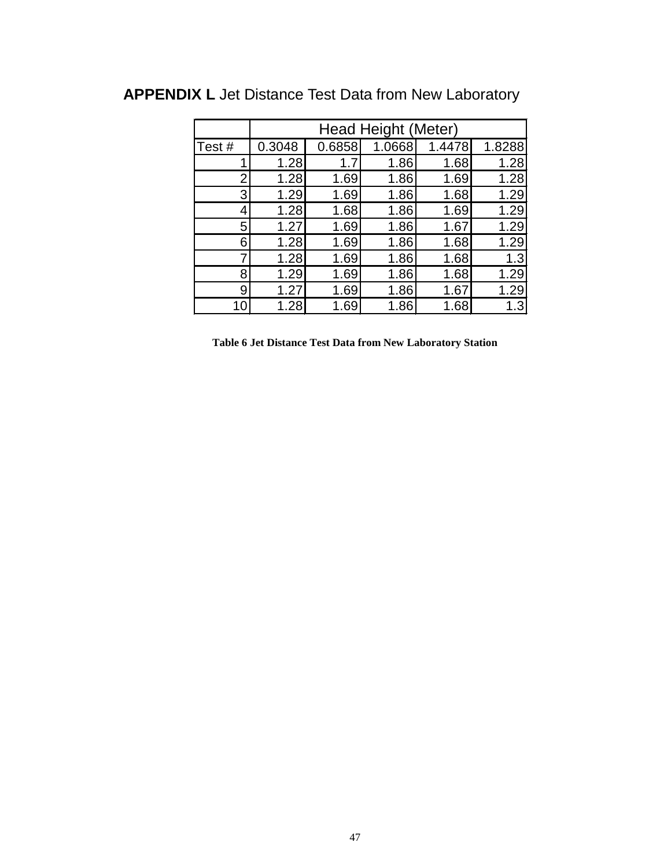|       | Head Height (Meter) |        |        |        |        |  |  |  |  |
|-------|---------------------|--------|--------|--------|--------|--|--|--|--|
| Test# | 0.3048              | 0.6858 | 1.0668 | 1.4478 | 1.8288 |  |  |  |  |
| 1     | 1.28                | 1.7    | 1.86   | 1.68   | 1.28   |  |  |  |  |
| 2     | 1.28                | 1.69   | 1.86   | 1.69   | 1.28   |  |  |  |  |
| 3     | 1.29                | 1.69   | 1.86   | 1.68   | 1.29   |  |  |  |  |
| 4     | 1.28                | 1.68   | 1.86   | 1.69   | 1.29   |  |  |  |  |
| 5     | 1.27                | 1.69   | 1.86   | 1.67   | 1.29   |  |  |  |  |
| 6     | 1.28                | 1.69   | 1.86   | 1.68   | 1.29   |  |  |  |  |
| 7     | 1.28                | 1.69   | 1.86   | 1.68   | 1.3    |  |  |  |  |
| 8     | 1.29                | 1.69   | 1.86   | 1.68   | 1.29   |  |  |  |  |
| 9     | 1.27                | 1.69   | 1.86   | 1.67   | 1.29   |  |  |  |  |
| 10    | 1.28                | 1.69   | 1.86   | 1.68   |        |  |  |  |  |

# **APPENDIX L** Jet Distance Test Data from New Laboratory

<span id="page-51-0"></span>**Table 6 Jet Distance Test Data from New Laboratory Station**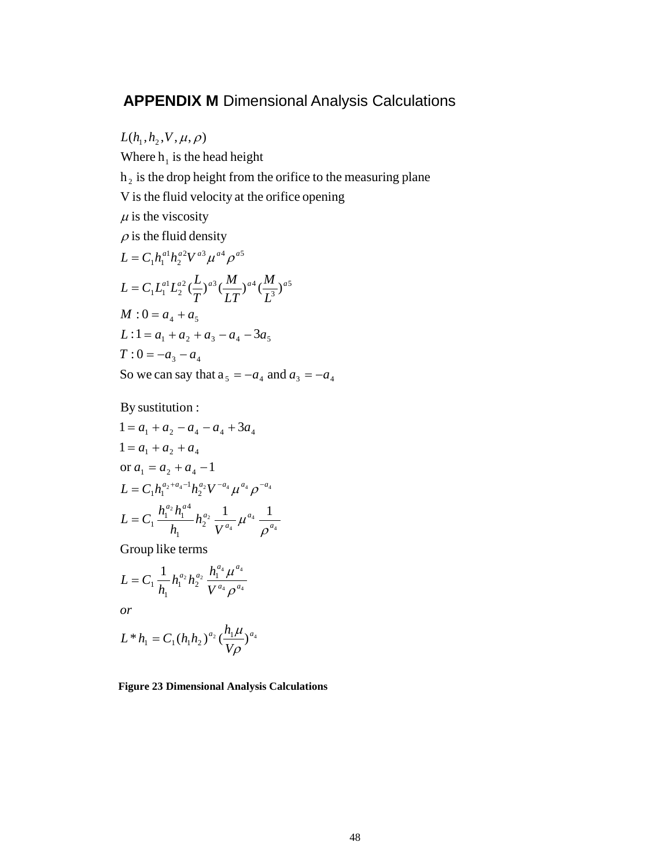### **APPENDIX M** Dimensional Analysis Calculations

5 3  $\frac{2}{4}$   $\frac{1}{4}$   $\frac{3}{4}$   $\frac{1}{4}$   $\frac{1}{4}$   $\frac{3}{4}$ 2 1  $\int_{1}^{1} L_1^{a_1} L_2^{a_2} \left(\frac{L}{T}\right)^{a_3} \left(\frac{m}{LT}\right)^{a_4} \left(\frac{m}{L_3^3}\right)^{a_4}$  $^{2}$ 17 a<sup>3</sup>  $^{a4}$   $^{a5}$ 2 1  $1^{\prime}$ <sup>1</sup>  $h_2$  is the drop height from the orifice to the measuring plane Where  $h_1$  is the head height  $L(h_1, h_2, V, \mu, \rho)$  $\rho$  is the fluid density  $\mu$  is the viscosity V is the fluid velocity at the orifice opening  $L = C_1 h_1^{a1} h_2^{a2} V^{a3} \mu^{a4} \rho^a$ *L M LT M T*  $L = C_1 L_1^{a_1} L_2^{a_2} (\frac{L}{L_1})$ So we can say that  $a_5 = -a_4$  and  $a_3 = -a_4$  $T: 0 = -a_3 - a_4$  $L: 1 = a_1 + a_2 + a_3 - a_4 - 3a_5$  $M: 0 = a_4 + a_5$ 

By sustitution :

$$
1 = a_1 + a_2 - a_4 - a_4 + 3a_4
$$
  
\n
$$
1 = a_1 + a_2 + a_4
$$
  
\nor  $a_1 = a_2 + a_4 - 1$   
\n
$$
L = C_1 h_1^{a_2 + a_4 - 1} h_2^{a_2} V^{-a_4} \mu^{a_4} \rho^{-a_4}
$$
  
\n
$$
L = C_1 \frac{h_1^{a_2} h_1^{a_4}}{h_1} h_2^{a_2} \frac{1}{V^{a_4}} \mu^{a_4} \frac{1}{\rho^{a_4}}
$$

Group like terms

$$
L = C_1 \frac{1}{h_1} h_1^{a_2} h_2^{a_2} \frac{h_1^{a_4} \mu^{a_4}}{V^{a_4} \rho^{a_4}}
$$

*or*

$$
L^* h_1 = C_1 (h_1 h_2)^{a_2} \left(\frac{h_1 \mu}{V \rho}\right)^{a_4}
$$

<span id="page-52-0"></span>**Figure 23 Dimensional Analysis Calculations**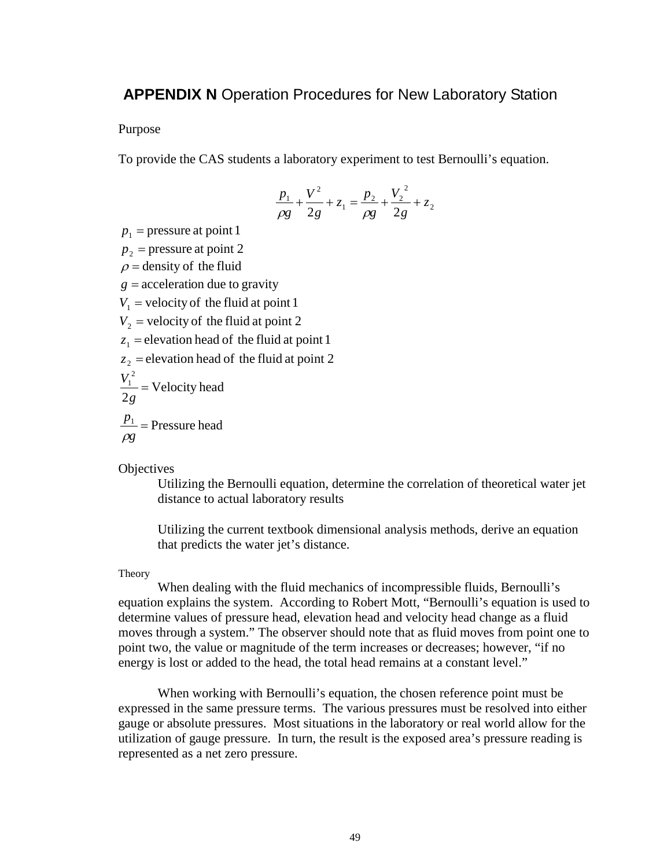### **APPENDIX N** Operation Procedures for New Laboratory Station

### Purpose

To provide the CAS students a laboratory experiment to test Bernoulli's equation.

$$
\frac{p_1}{\rho g} + \frac{V^2}{2g} + z_1 = \frac{p_2}{\rho g} + \frac{V_2^2}{2g} + z_2
$$

 $p_1$  = pressure at point 1  $p_2$  = pressure at point 2  $\rho$  = density of the fluid  $g =$  acceleration due to gravity  $V_1$  = velocity of the fluid at point 1  $V<sub>2</sub>$  = velocity of the fluid at point 2  $z_1$  = elevation head of the fluid at point 1  $z_2$  = elevation head of the fluid at point 2 Velocity head 2 2  $\frac{V_1^2}{2g} =$  $\frac{p_1}{\rho g}$  = Pressure head  $\rho_{\rm c}$ 

**Objectives** 

Utilizing the Bernoulli equation, determine the correlation of theoretical water jet distance to actual laboratory results

Utilizing the current textbook dimensional analysis methods, derive an equation that predicts the water jet's distance.

#### Theory

When dealing with the fluid mechanics of incompressible fluids, Bernoulli's equation explains the system. According to Robert Mott, "Bernoulli's equation is used to determine values of pressure head, elevation head and velocity head change as a fluid moves through a system." The observer should note that as fluid moves from point one to point two, the value or magnitude of the term increases or decreases; however, "if no energy is lost or added to the head, the total head remains at a constant level."

When working with Bernoulli's equation, the chosen reference point must be expressed in the same pressure terms. The various pressures must be resolved into either gauge or absolute pressures. Most situations in the laboratory or real world allow for the utilization of gauge pressure. In turn, the result is the exposed area's pressure reading is represented as a net zero pressure.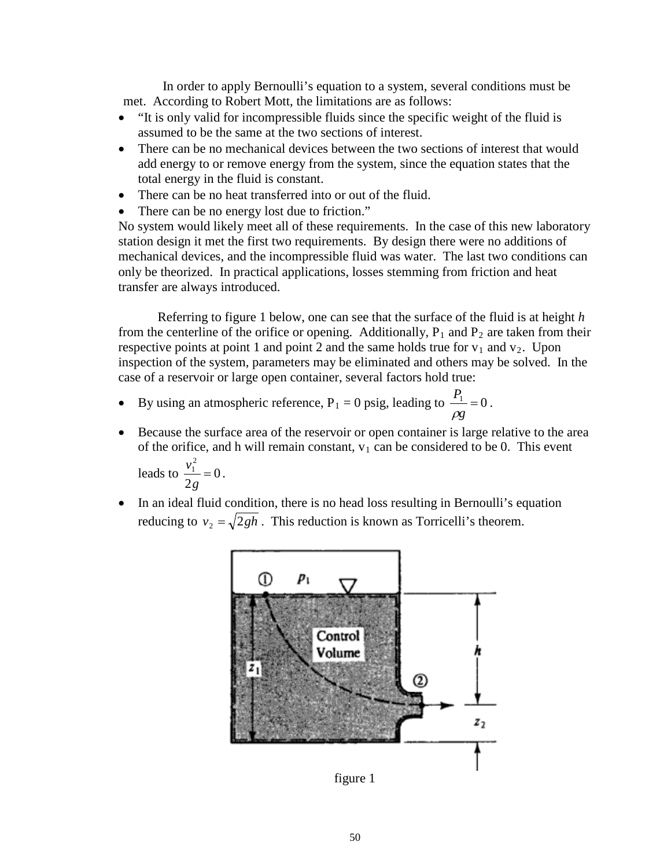In order to apply Bernoulli's equation to a system, several conditions must be met. According to Robert Mott, the limitations are as follows:

- "It is only valid for incompressible fluids since the specific weight of the fluid is assumed to be the same at the two sections of interest.
- There can be no mechanical devices between the two sections of interest that would add energy to or remove energy from the system, since the equation states that the total energy in the fluid is constant.
- There can be no heat transferred into or out of the fluid.
- There can be no energy lost due to friction."

No system would likely meet all of these requirements. In the case of this new laboratory station design it met the first two requirements. By design there were no additions of mechanical devices, and the incompressible fluid was water. The last two conditions can only be theorized. In practical applications, losses stemming from friction and heat transfer are always introduced.

Referring to figure 1 below, one can see that the surface of the fluid is at height *h* from the centerline of the orifice or opening. Additionally,  $P_1$  and  $P_2$  are taken from their respective points at point 1 and point 2 and the same holds true for  $v_1$  and  $v_2$ . Upon inspection of the system, parameters may be eliminated and others may be solved. In the case of a reservoir or large open container, several factors hold true:

- By using an atmospheric reference,  $P_1 = 0$  psig, leading to  $\frac{P_1}{\rho g} = 0$ ρ  $= 0$  psig, leading to  $\frac{1}{x} = 0$ .
- Because the surface area of the reservoir or open container is large relative to the area of the orifice, and h will remain constant,  $v_1$  can be considered to be 0. This event 0 2 2  $\frac{v_1^2}{2g} =$ leads to  $\frac{r_1}{r_1} = 0$ .
- In an ideal fluid condition, there is no head loss resulting in Bernoulli's equation reducing to  $v_2 = \sqrt{2gh}$ . This reduction is known as Torricelli's theorem.



figure 1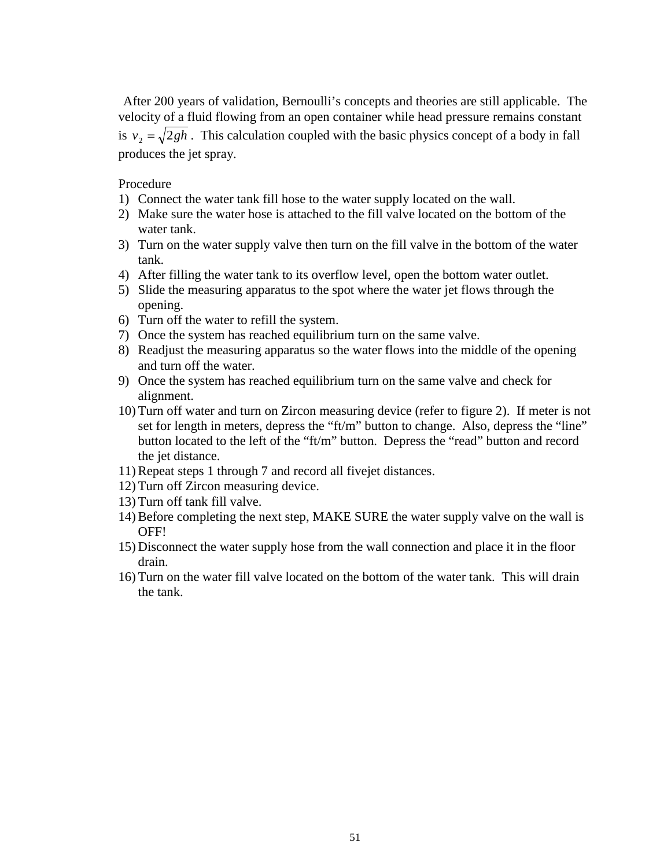After 200 years of validation, Bernoulli's concepts and theories are still applicable. The velocity of a fluid flowing from an open container while head pressure remains constant is  $v_2 = \sqrt{2gh}$ . This calculation coupled with the basic physics concept of a body in fall produces the jet spray.

### Procedure

- 1) Connect the water tank fill hose to the water supply located on the wall.
- 2) Make sure the water hose is attached to the fill valve located on the bottom of the water tank.
- 3) Turn on the water supply valve then turn on the fill valve in the bottom of the water tank.
- 4) After filling the water tank to its overflow level, open the bottom water outlet.
- 5) Slide the measuring apparatus to the spot where the water jet flows through the opening.
- 6) Turn off the water to refill the system.
- 7) Once the system has reached equilibrium turn on the same valve.
- 8) Readjust the measuring apparatus so the water flows into the middle of the opening and turn off the water.
- 9) Once the system has reached equilibrium turn on the same valve and check for alignment.
- 10) Turn off water and turn on Zircon measuring device (refer to figure 2). If meter is not set for length in meters, depress the "ft/m" button to change. Also, depress the "line" button located to the left of the "ft/m" button. Depress the "read" button and record the jet distance.
- 11) Repeat steps 1 through 7 and record all fivejet distances.
- 12) Turn off Zircon measuring device.
- 13) Turn off tank fill valve.
- 14) Before completing the next step, MAKE SURE the water supply valve on the wall is OFF!
- 15) Disconnect the water supply hose from the wall connection and place it in the floor drain.
- 16) Turn on the water fill valve located on the bottom of the water tank. This will drain the tank.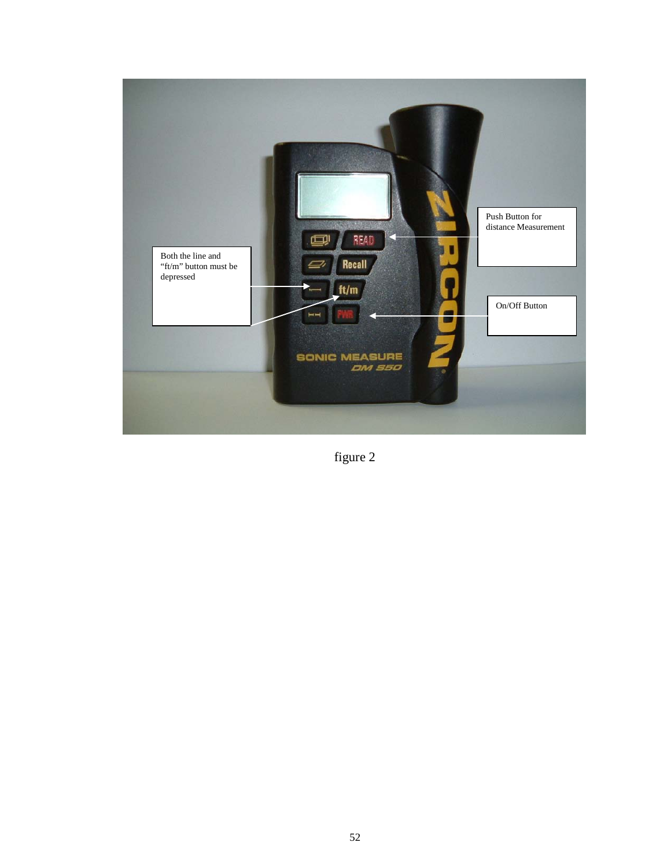

figure 2